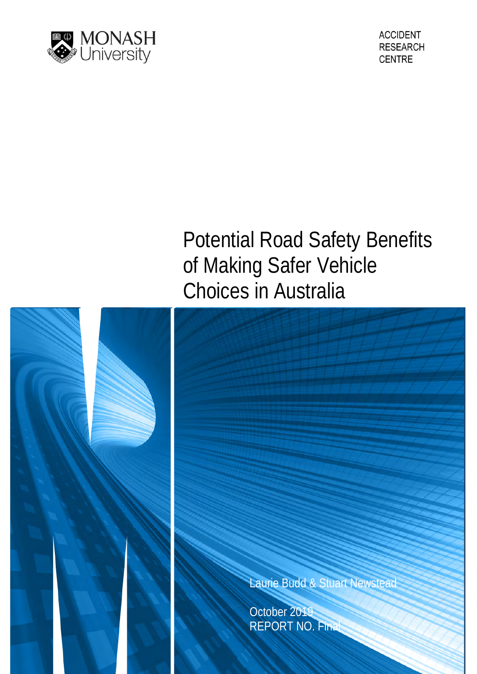

# Potential Road Safety Benefits of Making Safer Vehicle Choices in Australia

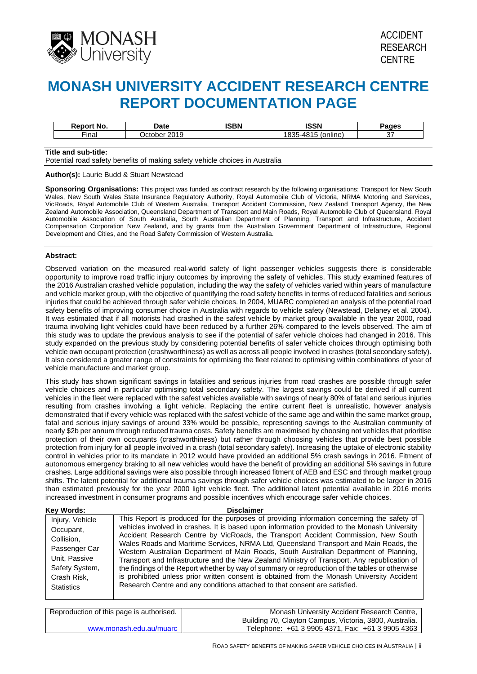

# **MONASH UNIVERSITY ACCIDENT RESEARCH CENTRE REPORT DOCUMENTATION PAGE**

| NO.               | Jate   | <b>ISBN</b> | 1422 I | aes |
|-------------------|--------|-------------|--------|-----|
| $- \cdot$<br>- 15 | $\sim$ |             |        |     |

#### **Title and sub-title:**

Potential road safety benefits of making safety vehicle choices in Australia

#### **Author(s):** Laurie Budd & Stuart Newstead

**Sponsoring Organisations:** This project was funded as contract research by the following organisations: Transport for New South Wales, New South Wales State Insurance Regulatory Authority, Royal Automobile Club of Victoria, NRMA Motoring and Services, VicRoads, Royal Automobile Club of Western Australia, Transport Accident Commission, New Zealand Transport Agency, the New Zealand Automobile Association, Queensland Department of Transport and Main Roads, Royal Automobile Club of Queensland, Royal Automobile Association of South Australia, South Australian Department of Planning, Transport and Infrastructure, Accident Compensation Corporation New Zealand, and by grants from the Australian Government Department of Infrastructure, Regional Development and Cities, and the Road Safety Commission of Western Australia.

#### **Abstract:**

Observed variation on the measured real-world safety of light passenger vehicles suggests there is considerable opportunity to improve road traffic injury outcomes by improving the safety of vehicles. This study examined features of the 2016 Australian crashed vehicle population, including the way the safety of vehicles varied within years of manufacture and vehicle market group, with the objective of quantifying the road safety benefits in terms of reduced fatalities and serious injuries that could be achieved through safer vehicle choices. In 2004, MUARC completed an analysis of the potential road safety benefits of improving consumer choice in Australia with regards to vehicle safety (Newstead, Delaney et al. 2004). It was estimated that if all motorists had crashed in the safest vehicle by market group available in the year 2000, road trauma involving light vehicles could have been reduced by a further 26% compared to the levels observed. The aim of this study was to update the previous analysis to see if the potential of safer vehicle choices had changed in 2016. This study expanded on the previous study by considering potential benefits of safer vehicle choices through optimising both vehicle own occupant protection (crashworthiness) as well as across all people involved in crashes (total secondary safety). It also considered a greater range of constraints for optimising the fleet related to optimising within combinations of year of vehicle manufacture and market group.

This study has shown significant savings in fatalities and serious injuries from road crashes are possible through safer vehicle choices and in particular optimising total secondary safety. The largest savings could be derived if all current vehicles in the fleet were replaced with the safest vehicles available with savings of nearly 80% of fatal and serious injuries resulting from crashes involving a light vehicle. Replacing the entire current fleet is unrealistic, however analysis demonstrated that if every vehicle was replaced with the safest vehicle of the same age and within the same market group, fatal and serious injury savings of around 33% would be possible, representing savings to the Australian community of nearly \$2b per annum through reduced trauma costs. Safety benefits are maximised by choosing not vehicles that prioritise protection of their own occupants (crashworthiness) but rather through choosing vehicles that provide best possible protection from injury for all people involved in a crash (total secondary safety). Increasing the uptake of electronic stability control in vehicles prior to its mandate in 2012 would have provided an additional 5% crash savings in 2016. Fitment of autonomous emergency braking to all new vehicles would have the benefit of providing an additional 5% savings in future crashes. Large additional savings were also possible through increased fitment of AEB and ESC and through market group shifts. The latent potential for additional trauma savings through safer vehicle choices was estimated to be larger in 2016 than estimated previously for the year 2000 light vehicle fleet. The additional latent potential available in 2016 merits increased investment in consumer programs and possible incentives which encourage safer vehicle choices.

| Kev Words:                                                                                                                         | <b>Disclaimer</b>                                                                                                                                                                                                                                                                                                                                                                                                                                                                                                                                                                                                                                                                                                                                                                                                                                 |
|------------------------------------------------------------------------------------------------------------------------------------|---------------------------------------------------------------------------------------------------------------------------------------------------------------------------------------------------------------------------------------------------------------------------------------------------------------------------------------------------------------------------------------------------------------------------------------------------------------------------------------------------------------------------------------------------------------------------------------------------------------------------------------------------------------------------------------------------------------------------------------------------------------------------------------------------------------------------------------------------|
| Injury, Vehicle<br>Occupant,<br>Collision,<br>Passenger Car<br>Unit, Passive<br>Safety System,<br>Crash Risk,<br><b>Statistics</b> | This Report is produced for the purposes of providing information concerning the safety of<br>vehicles involved in crashes. It is based upon information provided to the Monash University<br>Accident Research Centre by VicRoads, the Transport Accident Commission, New South<br>Wales Roads and Maritime Services, NRMA Ltd, Queensland Transport and Main Roads, the<br>Western Australian Department of Main Roads, South Australian Department of Planning,<br>Transport and Infrastructure and the New Zealand Ministry of Transport. Any republication of<br>the findings of the Report whether by way of summary or reproduction of the tables or otherwise<br>is prohibited unless prior written consent is obtained from the Monash University Accident<br>Research Centre and any conditions attached to that consent are satisfied. |

| Reproduction of this page is authorised. | Monash University Accident Research Centre,             |
|------------------------------------------|---------------------------------------------------------|
|                                          | Building 70, Clayton Campus, Victoria, 3800, Australia. |
| www.monash.edu.au/muarc                  | Telephone: +61 3 9905 4371, Fax: +61 3 9905 4363        |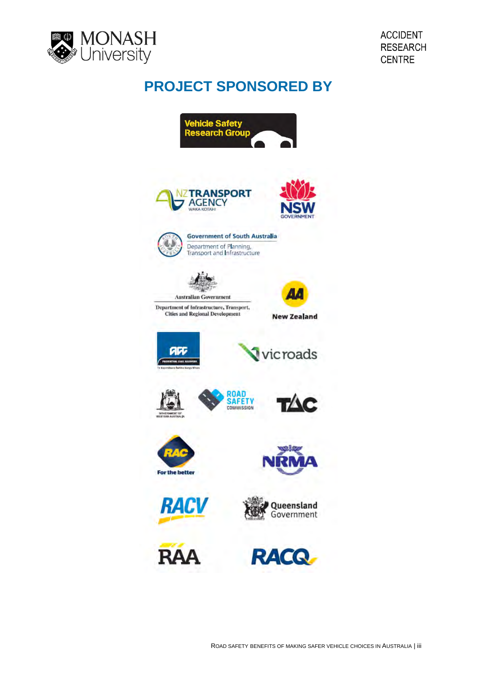

# **PROJECT SPONSORED BY**

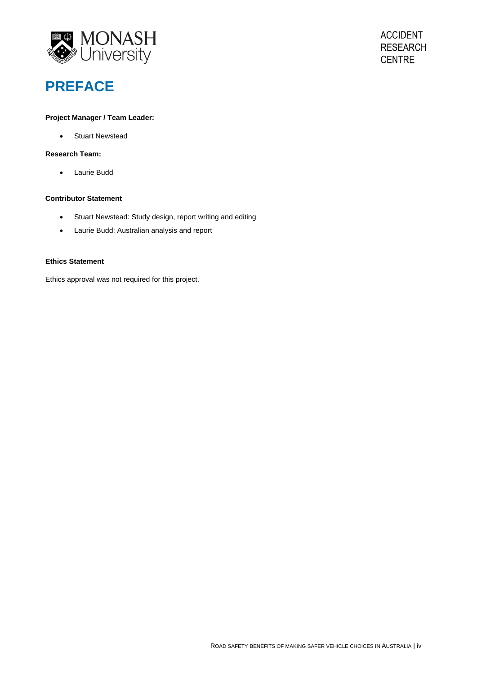

# **PREFACE**

### **Project Manager / Team Leader:**

• Stuart Newstead

# **Research Team:**

• Laurie Budd

#### **Contributor Statement**

- Stuart Newstead: Study design, report writing and editing
- Laurie Budd: Australian analysis and report

### **Ethics Statement**

Ethics approval was not required for this project.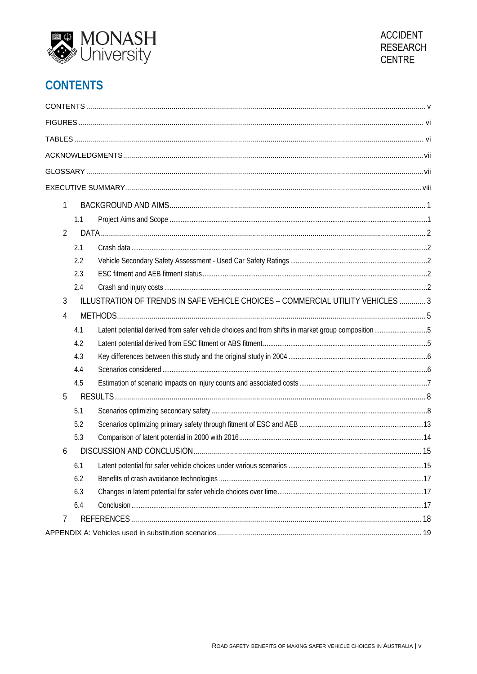



# **CONTENTS**

| 1              |     |                                                                                                  |  |
|----------------|-----|--------------------------------------------------------------------------------------------------|--|
|                | 1.1 |                                                                                                  |  |
| $\overline{2}$ |     |                                                                                                  |  |
|                | 2.1 |                                                                                                  |  |
|                | 2.2 |                                                                                                  |  |
|                | 2.3 |                                                                                                  |  |
|                | 2.4 |                                                                                                  |  |
| 3              |     | ILLUSTRATION OF TRENDS IN SAFE VEHICLE CHOICES - COMMERCIAL UTILITY VEHICLES  3                  |  |
| 4              |     |                                                                                                  |  |
|                | 4.1 | Latent potential derived from safer vehicle choices and from shifts in market group composition5 |  |
|                | 4.2 |                                                                                                  |  |
|                | 4.3 |                                                                                                  |  |
|                | 4.4 |                                                                                                  |  |
|                | 4.5 |                                                                                                  |  |
| 5              |     |                                                                                                  |  |
|                | 5.1 |                                                                                                  |  |
|                | 5.2 |                                                                                                  |  |
|                | 5.3 |                                                                                                  |  |
| 6              |     |                                                                                                  |  |
|                | 6.1 |                                                                                                  |  |
|                | 6.2 |                                                                                                  |  |
|                | 6.3 |                                                                                                  |  |
|                | 6.4 |                                                                                                  |  |
| 7              |     |                                                                                                  |  |
|                |     |                                                                                                  |  |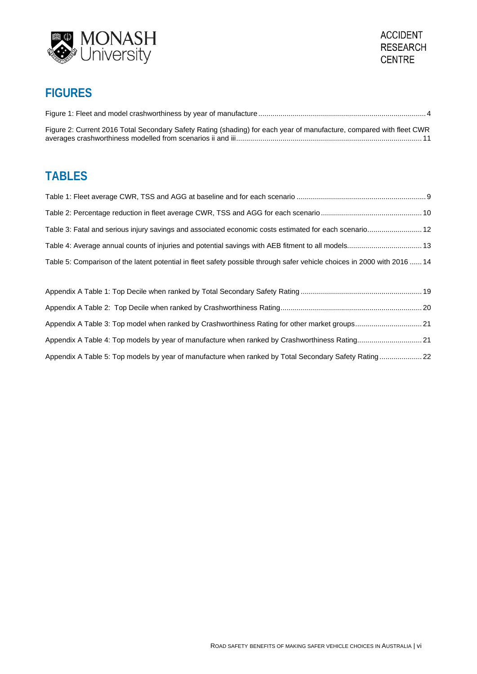



# **FIGURES**

| Figure 2: Current 2016 Total Secondary Safety Rating (shading) for each year of manufacture, compared with fleet CWR |  |
|----------------------------------------------------------------------------------------------------------------------|--|

# **TABLES**

| Table 3: Fatal and serious injury savings and associated economic costs estimated for each scenario 12                   |  |
|--------------------------------------------------------------------------------------------------------------------------|--|
|                                                                                                                          |  |
| Table 5: Comparison of the latent potential in fleet safety possible through safer vehicle choices in 2000 with 2016  14 |  |
|                                                                                                                          |  |
|                                                                                                                          |  |

| Appendix A Table 3: Top model when ranked by Crashworthiness Rating for other market groups21         |  |
|-------------------------------------------------------------------------------------------------------|--|
| Appendix A Table 4: Top models by year of manufacture when ranked by Crashworthiness Rating 21        |  |
| Appendix A Table 5: Top models by year of manufacture when ranked by Total Secondary Safety Rating 22 |  |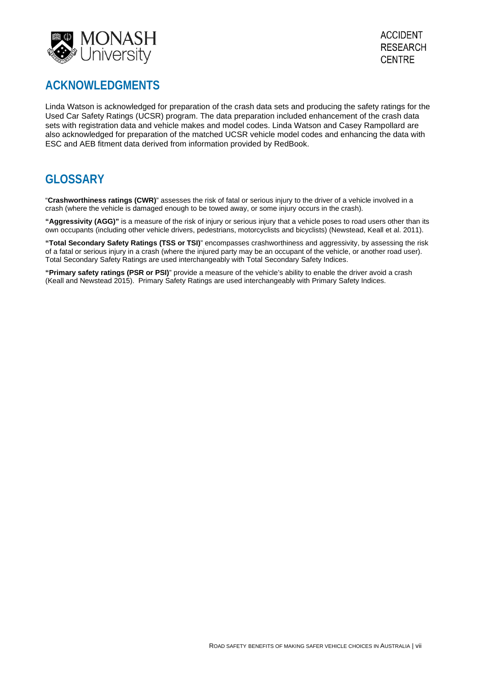

# **ACKNOWLEDGMENTS**

Linda Watson is acknowledged for preparation of the crash data sets and producing the safety ratings for the Used Car Safety Ratings (UCSR) program. The data preparation included enhancement of the crash data sets with registration data and vehicle makes and model codes. Linda Watson and Casey Rampollard are also acknowledged for preparation of the matched UCSR vehicle model codes and enhancing the data with ESC and AEB fitment data derived from information provided by RedBook.

# **GLOSSARY**

"**Crashworthiness ratings (CWR)**" assesses the risk of fatal or serious injury to the driver of a vehicle involved in a crash (where the vehicle is damaged enough to be towed away, or some injury occurs in the crash).

**"Aggressivity (AGG)"** is a measure of the risk of injury or serious injury that a vehicle poses to road users other than its own occupants (including other vehicle drivers, pedestrians, motorcyclists and bicyclists) (Newstead, Keall et al. 2011).

**"Total Secondary Safety Ratings (TSS or TSI)**" encompasses crashworthiness and aggressivity, by assessing the risk of a fatal or serious injury in a crash (where the injured party may be an occupant of the vehicle, or another road user). Total Secondary Safety Ratings are used interchangeably with Total Secondary Safety Indices.

**"Primary safety ratings (PSR or PSI)**" provide a measure of the vehicle's ability to enable the driver avoid a crash (Keall and Newstead 2015). Primary Safety Ratings are used interchangeably with Primary Safety Indices.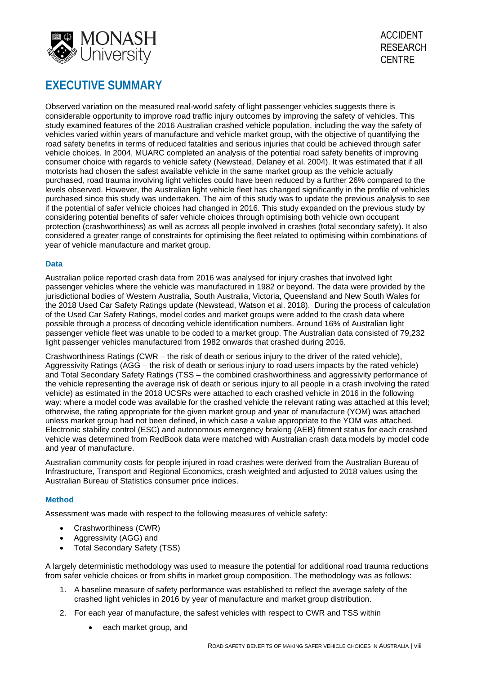

# **EXECUTIVE SUMMARY**

Observed variation on the measured real-world safety of light passenger vehicles suggests there is considerable opportunity to improve road traffic injury outcomes by improving the safety of vehicles. This study examined features of the 2016 Australian crashed vehicle population, including the way the safety of vehicles varied within years of manufacture and vehicle market group, with the objective of quantifying the road safety benefits in terms of reduced fatalities and serious injuries that could be achieved through safer vehicle choices. In 2004, MUARC completed an analysis of the potential road safety benefits of improving consumer choice with regards to vehicle safety (Newstead, Delaney et al. 2004). It was estimated that if all motorists had chosen the safest available vehicle in the same market group as the vehicle actually purchased, road trauma involving light vehicles could have been reduced by a further 26% compared to the levels observed. However, the Australian light vehicle fleet has changed significantly in the profile of vehicles purchased since this study was undertaken. The aim of this study was to update the previous analysis to see if the potential of safer vehicle choices had changed in 2016. This study expanded on the previous study by considering potential benefits of safer vehicle choices through optimising both vehicle own occupant protection (crashworthiness) as well as across all people involved in crashes (total secondary safety). It also considered a greater range of constraints for optimising the fleet related to optimising within combinations of year of vehicle manufacture and market group.

### **Data**

Australian police reported crash data from 2016 was analysed for injury crashes that involved light passenger vehicles where the vehicle was manufactured in 1982 or beyond. The data were provided by the jurisdictional bodies of Western Australia, South Australia, Victoria, Queensland and New South Wales for the 2018 Used Car Safety Ratings update (Newstead, Watson et al. 2018). During the process of calculation of the Used Car Safety Ratings, model codes and market groups were added to the crash data where possible through a process of decoding vehicle identification numbers. Around 16% of Australian light passenger vehicle fleet was unable to be coded to a market group. The Australian data consisted of 79,232 light passenger vehicles manufactured from 1982 onwards that crashed during 2016.

Crashworthiness Ratings (CWR – the risk of death or serious injury to the driver of the rated vehicle), Aggressivity Ratings (AGG – the risk of death or serious injury to road users impacts by the rated vehicle) and Total Secondary Safety Ratings (TSS – the combined crashworthiness and aggressivity performance of the vehicle representing the average risk of death or serious injury to all people in a crash involving the rated vehicle) as estimated in the 2018 UCSRs were attached to each crashed vehicle in 2016 in the following way: where a model code was available for the crashed vehicle the relevant rating was attached at this level; otherwise, the rating appropriate for the given market group and year of manufacture (YOM) was attached unless market group had not been defined, in which case a value appropriate to the YOM was attached. Electronic stability control (ESC) and autonomous emergency braking (AEB) fitment status for each crashed vehicle was determined from RedBook data were matched with Australian crash data models by model code and year of manufacture.

Australian community costs for people injured in road crashes were derived from the Australian Bureau of Infrastructure, Transport and Regional Economics, crash weighted and adjusted to 2018 values using the Australian Bureau of Statistics consumer price indices.

# **Method**

Assessment was made with respect to the following measures of vehicle safety:

- Crashworthiness (CWR)
- Aggressivity (AGG) and
- Total Secondary Safety (TSS)

A largely deterministic methodology was used to measure the potential for additional road trauma reductions from safer vehicle choices or from shifts in market group composition. The methodology was as follows:

- 1. A baseline measure of safety performance was established to reflect the average safety of the crashed light vehicles in 2016 by year of manufacture and market group distribution.
- 2. For each year of manufacture, the safest vehicles with respect to CWR and TSS within
	- each market group, and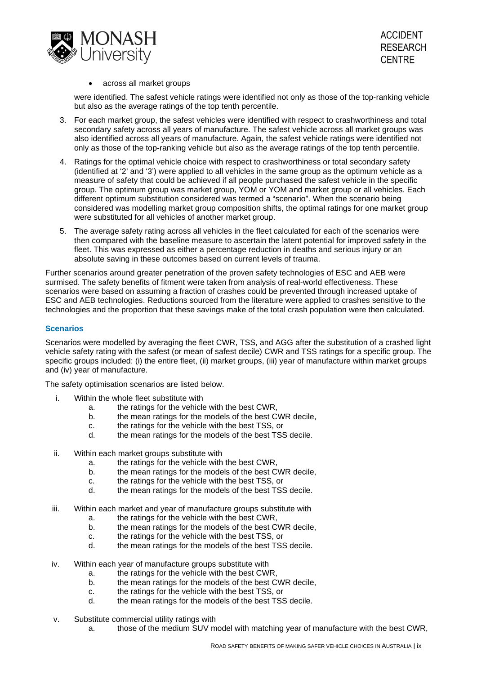

## • across all market groups

were identified. The safest vehicle ratings were identified not only as those of the top-ranking vehicle but also as the average ratings of the top tenth percentile.

- 3. For each market group, the safest vehicles were identified with respect to crashworthiness and total secondary safety across all years of manufacture. The safest vehicle across all market groups was also identified across all years of manufacture. Again, the safest vehicle ratings were identified not only as those of the top-ranking vehicle but also as the average ratings of the top tenth percentile.
- 4. Ratings for the optimal vehicle choice with respect to crashworthiness or total secondary safety (identified at '2' and '3') were applied to all vehicles in the same group as the optimum vehicle as a measure of safety that could be achieved if all people purchased the safest vehicle in the specific group. The optimum group was market group, YOM or YOM and market group or all vehicles. Each different optimum substitution considered was termed a "scenario". When the scenario being considered was modelling market group composition shifts, the optimal ratings for one market group were substituted for all vehicles of another market group.
- 5. The average safety rating across all vehicles in the fleet calculated for each of the scenarios were then compared with the baseline measure to ascertain the latent potential for improved safety in the fleet. This was expressed as either a percentage reduction in deaths and serious injury or an absolute saving in these outcomes based on current levels of trauma.

Further scenarios around greater penetration of the proven safety technologies of ESC and AEB were surmised. The safety benefits of fitment were taken from analysis of real-world effectiveness. These scenarios were based on assuming a fraction of crashes could be prevented through increased uptake of ESC and AEB technologies. Reductions sourced from the literature were applied to crashes sensitive to the technologies and the proportion that these savings make of the total crash population were then calculated.

# **Scenarios**

Scenarios were modelled by averaging the fleet CWR, TSS, and AGG after the substitution of a crashed light vehicle safety rating with the safest (or mean of safest decile) CWR and TSS ratings for a specific group. The specific groups included: (i) the entire fleet, (ii) market groups, (iii) year of manufacture within market groups and (iv) year of manufacture.

The safety optimisation scenarios are listed below.

- i. Within the whole fleet substitute with
	- a. the ratings for the vehicle with the best CWR,<br>b. the mean ratings for the models of the best C
	- the mean ratings for the models of the best CWR decile,
	- c. the ratings for the vehicle with the best TSS, or<br>due the mean ratings for the models of the best TSS
	- the mean ratings for the models of the best TSS decile.
- ii. Within each market groups substitute with
	- a. the ratings for the vehicle with the best CWR,
	- b. the mean ratings for the models of the best CWR decile,
	- c. the ratings for the vehicle with the best TSS, or<br>d the mean ratings for the models of the best TSS
	- the mean ratings for the models of the best TSS decile.
- iii. Within each market and year of manufacture groups substitute with
	- a. the ratings for the vehicle with the best CWR,
	- b. the mean ratings for the models of the best CWR decile,
	- c. the ratings for the vehicle with the best TSS, or
	- d. the mean ratings for the models of the best TSS decile.
- iv. Within each year of manufacture groups substitute with
	- a. the ratings for the vehicle with the best CWR,
	- b. the mean ratings for the models of the best CWR decile,
	- c. the ratings for the vehicle with the best TSS, or
	- d. the mean ratings for the models of the best TSS decile.
- v. Substitute commercial utility ratings with
	- a. those of the medium SUV model with matching year of manufacture with the best CWR,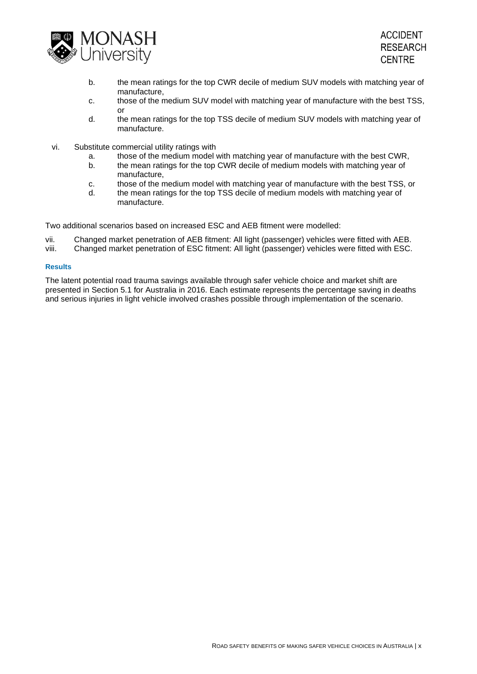

- b. the mean ratings for the top CWR decile of medium SUV models with matching year of manufacture,
- c. those of the medium SUV model with matching year of manufacture with the best TSS, or
- d. the mean ratings for the top TSS decile of medium SUV models with matching year of manufacture.
- vi. Substitute commercial utility ratings with
	- a. those of the medium model with matching year of manufacture with the best CWR,
	- b. the mean ratings for the top CWR decile of medium models with matching year of manufacture,
	- c. those of the medium model with matching year of manufacture with the best TSS, or
	- d. the mean ratings for the top TSS decile of medium models with matching year of manufacture.

Two additional scenarios based on increased ESC and AEB fitment were modelled:

- vii. Changed market penetration of AEB fitment: All light (passenger) vehicles were fitted with AEB.
- viii. Changed market penetration of ESC fitment: All light (passenger) vehicles were fitted with ESC.

#### **Results**

The latent potential road trauma savings available through safer vehicle choice and market shift are presented in Section 5.1 for Australia in 2016. Each estimate represents the percentage saving in deaths and serious injuries in light vehicle involved crashes possible through implementation of the scenario.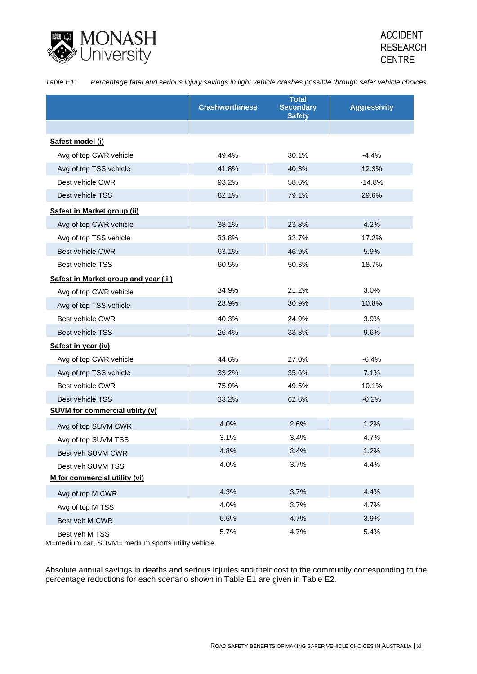

| Table E1: |  |  | Percentage fatal and serious injury savings in light vehicle crashes possible through safer vehicle choices |  |
|-----------|--|--|-------------------------------------------------------------------------------------------------------------|--|
|-----------|--|--|-------------------------------------------------------------------------------------------------------------|--|

|                                        | <b>Crashworthiness</b> | <b>Total</b><br><b>Secondary</b><br><b>Safety</b> | <b>Aggressivity</b> |
|----------------------------------------|------------------------|---------------------------------------------------|---------------------|
|                                        |                        |                                                   |                     |
| Safest model (i)                       |                        |                                                   |                     |
| Avg of top CWR vehicle                 | 49.4%                  | 30.1%                                             | $-4.4%$             |
| Avg of top TSS vehicle                 | 41.8%                  | 40.3%                                             | 12.3%               |
| Best vehicle CWR                       | 93.2%                  | 58.6%                                             | $-14.8%$            |
| <b>Best vehicle TSS</b>                | 82.1%                  | 79.1%                                             | 29.6%               |
| Safest in Market group (ii)            |                        |                                                   |                     |
| Avg of top CWR vehicle                 | 38.1%                  | 23.8%                                             | 4.2%                |
| Avg of top TSS vehicle                 | 33.8%                  | 32.7%                                             | 17.2%               |
| Best vehicle CWR                       | 63.1%                  | 46.9%                                             | 5.9%                |
| <b>Best vehicle TSS</b>                | 60.5%                  | 50.3%                                             | 18.7%               |
| Safest in Market group and year (iii)  |                        |                                                   |                     |
| Avg of top CWR vehicle                 | 34.9%                  | 21.2%                                             | 3.0%                |
| Avg of top TSS vehicle                 | 23.9%                  | 30.9%                                             | 10.8%               |
| Best vehicle CWR                       | 40.3%                  | 24.9%                                             | 3.9%                |
| <b>Best vehicle TSS</b>                | 26.4%                  | 33.8%                                             | 9.6%                |
| Safest in year (iv)                    |                        |                                                   |                     |
| Avg of top CWR vehicle                 | 44.6%                  | 27.0%                                             | $-6.4%$             |
| Avg of top TSS vehicle                 | 33.2%                  | 35.6%                                             | 7.1%                |
| Best vehicle CWR                       | 75.9%                  | 49.5%                                             | 10.1%               |
| <b>Best vehicle TSS</b>                | 33.2%                  | 62.6%                                             | $-0.2%$             |
| <b>SUVM for commercial utility (v)</b> |                        |                                                   |                     |
| Avg of top SUVM CWR                    | 4.0%                   | 2.6%                                              | 1.2%                |
| Avg of top SUVM TSS                    | 3.1%                   | 3.4%                                              | 4.7%                |
| Best veh SUVM CWR                      | 4.8%                   | 3.4%                                              | 1.2%                |
| Best veh SUVM TSS                      | 4.0%                   | 3.7%                                              | 4.4%                |
| M for commercial utility (vi)          |                        |                                                   |                     |
| Avg of top M CWR                       | 4.3%                   | 3.7%                                              | 4.4%                |
| Avg of top M TSS                       | 4.0%                   | 3.7%                                              | 4.7%                |
| Best veh M CWR                         | 6.5%                   | 4.7%                                              | 3.9%                |
| Best veh M TSS                         | 5.7%                   | 4.7%                                              | 5.4%                |

M=medium car, SUVM= medium sports utility vehicle

Absolute annual savings in deaths and serious injuries and their cost to the community corresponding to the percentage reductions for each scenario shown in Table E1 are given in Table E2.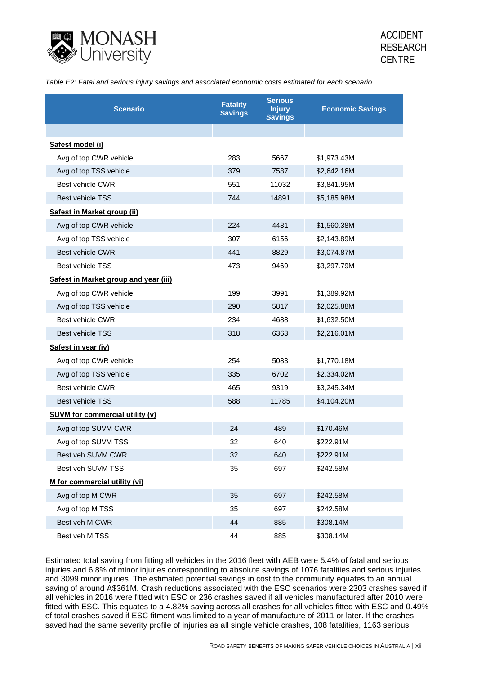

*Table E2: Fatal and serious injury savings and associated economic costs estimated for each scenario*

| <b>Scenario</b>                        | <b>Fatality</b><br><b>Savings</b> | <b>Serious</b><br><b>Injury</b><br><b>Savings</b> | <b>Economic Savings</b> |
|----------------------------------------|-----------------------------------|---------------------------------------------------|-------------------------|
|                                        |                                   |                                                   |                         |
| Safest model (i)                       |                                   |                                                   |                         |
| Avg of top CWR vehicle                 | 283                               | 5667                                              | \$1,973.43M             |
| Avg of top TSS vehicle                 | 379                               | 7587                                              | \$2,642.16M             |
| Best vehicle CWR                       | 551                               | 11032                                             | \$3,841.95M             |
| <b>Best vehicle TSS</b>                | 744                               | 14891                                             | \$5,185.98M             |
| Safest in Market group (ii)            |                                   |                                                   |                         |
| Avg of top CWR vehicle                 | 224                               | 4481                                              | \$1,560.38M             |
| Avg of top TSS vehicle                 | 307                               | 6156                                              | \$2,143.89M             |
| Best vehicle CWR                       | 441                               | 8829                                              | \$3,074.87M             |
| Best vehicle TSS                       | 473                               | 9469                                              | \$3,297.79M             |
| Safest in Market group and year (iii)  |                                   |                                                   |                         |
| Avg of top CWR vehicle                 | 199                               | 3991                                              | \$1,389.92M             |
| Avg of top TSS vehicle                 | 290                               | 5817                                              | \$2,025.88M             |
| <b>Best vehicle CWR</b>                | 234                               | 4688                                              | \$1,632.50M             |
| <b>Best vehicle TSS</b>                | 318                               | 6363                                              | \$2,216.01M             |
| Safest in year (iv)                    |                                   |                                                   |                         |
| Avg of top CWR vehicle                 | 254                               | 5083                                              | \$1,770.18M             |
| Avg of top TSS vehicle                 | 335                               | 6702                                              | \$2,334.02M             |
| Best vehicle CWR                       | 465                               | 9319                                              | \$3,245.34M             |
| <b>Best vehicle TSS</b>                | 588                               | 11785                                             | \$4,104.20M             |
| <b>SUVM for commercial utility (v)</b> |                                   |                                                   |                         |
| Avg of top SUVM CWR                    | 24                                | 489                                               | \$170.46M               |
| Avg of top SUVM TSS                    | 32                                | 640                                               | \$222.91M               |
| Best veh SUVM CWR                      | 32                                | 640                                               | \$222.91M               |
| Best veh SUVM TSS                      | 35                                | 697                                               | \$242.58M               |
| M for commercial utility (vi)          |                                   |                                                   |                         |
| Avg of top M CWR                       | 35                                | 697                                               | \$242.58M               |
| Avg of top M TSS                       | 35                                | 697                                               | \$242.58M               |
| Best veh M CWR                         | 44                                | 885                                               | \$308.14M               |
| Best veh M TSS                         | 44                                | 885                                               | \$308.14M               |

Estimated total saving from fitting all vehicles in the 2016 fleet with AEB were 5.4% of fatal and serious injuries and 6.8% of minor injuries corresponding to absolute savings of 1076 fatalities and serious injuries and 3099 minor injuries. The estimated potential savings in cost to the community equates to an annual saving of around A\$361M. Crash reductions associated with the ESC scenarios were 2303 crashes saved if all vehicles in 2016 were fitted with ESC or 236 crashes saved if all vehicles manufactured after 2010 were fitted with ESC. This equates to a 4.82% saving across all crashes for all vehicles fitted with ESC and 0.49% of total crashes saved if ESC fitment was limited to a year of manufacture of 2011 or later. If the crashes saved had the same severity profile of injuries as all single vehicle crashes, 108 fatalities, 1163 serious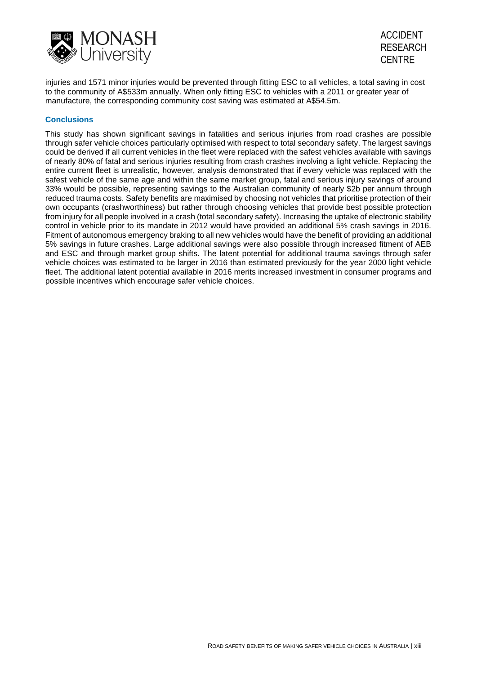



injuries and 1571 minor injuries would be prevented through fitting ESC to all vehicles, a total saving in cost to the community of A\$533m annually. When only fitting ESC to vehicles with a 2011 or greater year of manufacture, the corresponding community cost saving was estimated at A\$54.5m.

#### **Conclusions**

This study has shown significant savings in fatalities and serious injuries from road crashes are possible through safer vehicle choices particularly optimised with respect to total secondary safety. The largest savings could be derived if all current vehicles in the fleet were replaced with the safest vehicles available with savings of nearly 80% of fatal and serious injuries resulting from crash crashes involving a light vehicle. Replacing the entire current fleet is unrealistic, however, analysis demonstrated that if every vehicle was replaced with the safest vehicle of the same age and within the same market group, fatal and serious injury savings of around 33% would be possible, representing savings to the Australian community of nearly \$2b per annum through reduced trauma costs. Safety benefits are maximised by choosing not vehicles that prioritise protection of their own occupants (crashworthiness) but rather through choosing vehicles that provide best possible protection from injury for all people involved in a crash (total secondary safety). Increasing the uptake of electronic stability control in vehicle prior to its mandate in 2012 would have provided an additional 5% crash savings in 2016. Fitment of autonomous emergency braking to all new vehicles would have the benefit of providing an additional 5% savings in future crashes. Large additional savings were also possible through increased fitment of AEB and ESC and through market group shifts. The latent potential for additional trauma savings through safer vehicle choices was estimated to be larger in 2016 than estimated previously for the year 2000 light vehicle fleet. The additional latent potential available in 2016 merits increased investment in consumer programs and possible incentives which encourage safer vehicle choices.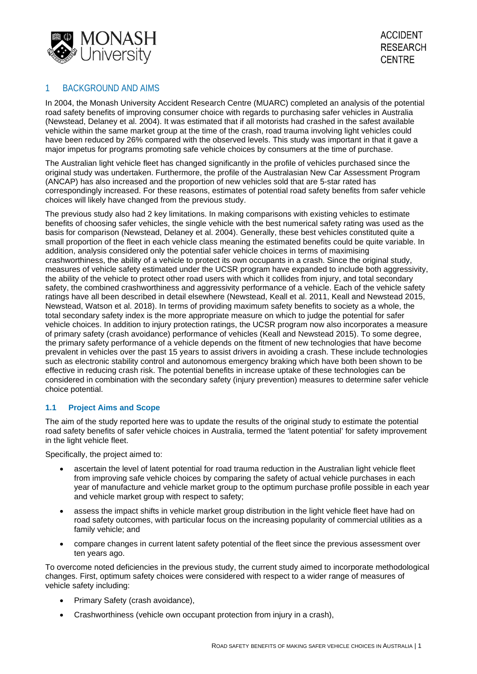

# 1 BACKGROUND AND AIMS

In 2004, the Monash University Accident Research Centre (MUARC) completed an analysis of the potential road safety benefits of improving consumer choice with regards to purchasing safer vehicles in Australia (Newstead, Delaney et al. 2004). It was estimated that if all motorists had crashed in the safest available vehicle within the same market group at the time of the crash, road trauma involving light vehicles could have been reduced by 26% compared with the observed levels. This study was important in that it gave a major impetus for programs promoting safe vehicle choices by consumers at the time of purchase.

The Australian light vehicle fleet has changed significantly in the profile of vehicles purchased since the original study was undertaken. Furthermore, the profile of the Australasian New Car Assessment Program (ANCAP) has also increased and the proportion of new vehicles sold that are 5-star rated has correspondingly increased. For these reasons, estimates of potential road safety benefits from safer vehicle choices will likely have changed from the previous study.

The previous study also had 2 key limitations. In making comparisons with existing vehicles to estimate benefits of choosing safer vehicles, the single vehicle with the best numerical safety rating was used as the basis for comparison (Newstead, Delaney et al. 2004). Generally, these best vehicles constituted quite a small proportion of the fleet in each vehicle class meaning the estimated benefits could be quite variable. In addition, analysis considered only the potential safer vehicle choices in terms of maximising crashworthiness, the ability of a vehicle to protect its own occupants in a crash. Since the original study, measures of vehicle safety estimated under the UCSR program have expanded to include both aggressivity, the ability of the vehicle to protect other road users with which it collides from injury, and total secondary safety, the combined crashworthiness and aggressivity performance of a vehicle. Each of the vehicle safety ratings have all been described in detail elsewhere (Newstead, Keall et al. 2011, Keall and Newstead 2015, Newstead, Watson et al. 2018). In terms of providing maximum safety benefits to society as a whole, the total secondary safety index is the more appropriate measure on which to judge the potential for safer vehicle choices. In addition to injury protection ratings, the UCSR program now also incorporates a measure of primary safety (crash avoidance) performance of vehicles (Keall and Newstead 2015). To some degree, the primary safety performance of a vehicle depends on the fitment of new technologies that have become prevalent in vehicles over the past 15 years to assist drivers in avoiding a crash. These include technologies such as electronic stability control and autonomous emergency braking which have both been shown to be effective in reducing crash risk. The potential benefits in increase uptake of these technologies can be considered in combination with the secondary safety (injury prevention) measures to determine safer vehicle choice potential.

# **1.1 Project Aims and Scope**

The aim of the study reported here was to update the results of the original study to estimate the potential road safety benefits of safer vehicle choices in Australia, termed the 'latent potential' for safety improvement in the light vehicle fleet.

Specifically, the project aimed to:

- ascertain the level of latent potential for road trauma reduction in the Australian light vehicle fleet from improving safe vehicle choices by comparing the safety of actual vehicle purchases in each year of manufacture and vehicle market group to the optimum purchase profile possible in each year and vehicle market group with respect to safety:
- assess the impact shifts in vehicle market group distribution in the light vehicle fleet have had on road safety outcomes, with particular focus on the increasing popularity of commercial utilities as a family vehicle; and
- compare changes in current latent safety potential of the fleet since the previous assessment over ten years ago.

To overcome noted deficiencies in the previous study, the current study aimed to incorporate methodological changes. First, optimum safety choices were considered with respect to a wider range of measures of vehicle safety including:

- Primary Safety (crash avoidance),
- Crashworthiness (vehicle own occupant protection from injury in a crash),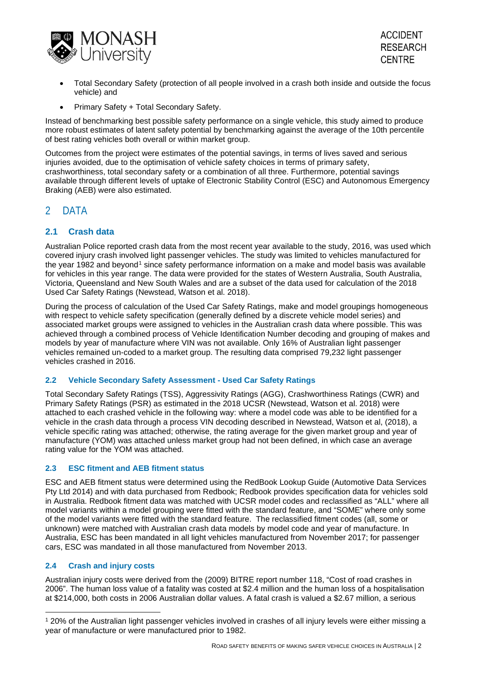

- Total Secondary Safety (protection of all people involved in a crash both inside and outside the focus vehicle) and
- Primary Safety + Total Secondary Safety.

Instead of benchmarking best possible safety performance on a single vehicle, this study aimed to produce more robust estimates of latent safety potential by benchmarking against the average of the 10th percentile of best rating vehicles both overall or within market group.

Outcomes from the project were estimates of the potential savings, in terms of lives saved and serious injuries avoided, due to the optimisation of vehicle safety choices in terms of primary safety, crashworthiness, total secondary safety or a combination of all three. Furthermore, potential savings available through different levels of uptake of Electronic Stability Control (ESC) and Autonomous Emergency Braking (AEB) were also estimated.

# 2 DATA

# **2.1 Crash data**

Australian Police reported crash data from the most recent year available to the study, 2016, was used which covered injury crash involved light passenger vehicles. The study was limited to vehicles manufactured for the year [1](#page-14-0)982 and beyond<sup>1</sup> since safety performance information on a make and model basis was available for vehicles in this year range. The data were provided for the states of Western Australia, South Australia, Victoria, Queensland and New South Wales and are a subset of the data used for calculation of the 2018 Used Car Safety Ratings (Newstead, Watson et al. 2018).

During the process of calculation of the Used Car Safety Ratings, make and model groupings homogeneous with respect to vehicle safety specification (generally defined by a discrete vehicle model series) and associated market groups were assigned to vehicles in the Australian crash data where possible. This was achieved through a combined process of Vehicle Identification Number decoding and grouping of makes and models by year of manufacture where VIN was not available. Only 16% of Australian light passenger vehicles remained un-coded to a market group. The resulting data comprised 79,232 light passenger vehicles crashed in 2016.

# **2.2 Vehicle Secondary Safety Assessment - Used Car Safety Ratings**

Total Secondary Safety Ratings (TSS), Aggressivity Ratings (AGG), Crashworthiness Ratings (CWR) and Primary Safety Ratings (PSR) as estimated in the 2018 UCSR (Newstead, Watson et al. 2018) were attached to each crashed vehicle in the following way: where a model code was able to be identified for a vehicle in the crash data through a process VIN decoding described in Newstead, Watson et al, (2018), a vehicle specific rating was attached; otherwise, the rating average for the given market group and year of manufacture (YOM) was attached unless market group had not been defined, in which case an average rating value for the YOM was attached.

# **2.3 ESC fitment and AEB fitment status**

ESC and AEB fitment status were determined using the RedBook Lookup Guide (Automotive Data Services Pty Ltd 2014) and with data purchased from Redbook; Redbook provides specification data for vehicles sold in Australia. Redbook fitment data was matched with UCSR model codes and reclassified as "ALL" where all model variants within a model grouping were fitted with the standard feature, and "SOME" where only some of the model variants were fitted with the standard feature. The reclassified fitment codes (all, some or unknown) were matched with Australian crash data models by model code and year of manufacture. In Australia, ESC has been mandated in all light vehicles manufactured from November 2017; for passenger cars, ESC was mandated in all those manufactured from November 2013.

# <span id="page-14-1"></span>**2.4 Crash and injury costs**

Australian injury costs were derived from the (2009) BITRE report number 118, "Cost of road crashes in 2006". The human loss value of a fatality was costed at \$2.4 million and the human loss of a hospitalisation at \$214,000, both costs in 2006 Australian dollar values. A fatal crash is valued a \$2.67 million, a serious

<span id="page-14-0"></span><sup>1</sup> 20% of the Australian light passenger vehicles involved in crashes of all injury levels were either missing a year of manufacture or were manufactured prior to 1982.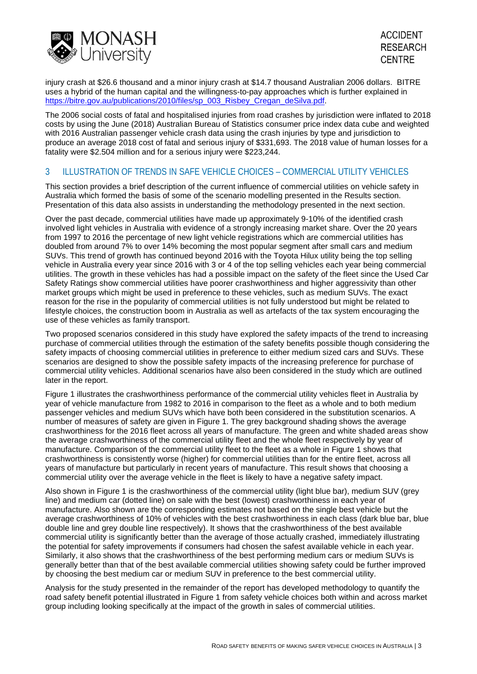

injury crash at \$26.6 thousand and a minor injury crash at \$14.7 thousand Australian 2006 dollars. BITRE uses a hybrid of the human capital and the willingness-to-pay approaches which is further explained in [https://bitre.gov.au/publications/2010/files/sp\\_003\\_Risbey\\_Cregan\\_deSilva.pdf.](https://bitre.gov.au/publications/2010/files/sp_003_Risbey_Cregan_deSilva.pdf)

The 2006 social costs of fatal and hospitalised injuries from road crashes by jurisdiction were inflated to 2018 costs by using the June (2018) Australian Bureau of Statistics consumer price index data cube and weighted with 2016 Australian passenger vehicle crash data using the crash injuries by type and jurisdiction to produce an average 2018 cost of fatal and serious injury of \$331,693. The 2018 value of human losses for a fatality were \$2.504 million and for a serious injury were \$223,244.

# 3 ILLUSTRATION OF TRENDS IN SAFE VEHICLE CHOICES – COMMERCIAL UTILITY VEHICLES

This section provides a brief description of the current influence of commercial utilities on vehicle safety in Australia which formed the basis of some of the scenario modelling presented in the Results section. Presentation of this data also assists in understanding the methodology presented in the next section.

Over the past decade, commercial utilities have made up approximately 9-10% of the identified crash involved light vehicles in Australia with evidence of a strongly increasing market share. Over the 20 years from 1997 to 2016 the percentage of new light vehicle registrations which are commercial utilities has doubled from around 7% to over 14% becoming the most popular segment after small cars and medium SUVs. This trend of growth has continued beyond 2016 with the Toyota Hilux utility being the top selling vehicle in Australia every year since 2016 with 3 or 4 of the top selling vehicles each year being commercial utilities. The growth in these vehicles has had a possible impact on the safety of the fleet since the Used Car Safety Ratings show commercial utilities have poorer crashworthiness and higher aggressivity than other market groups which might be used in preference to these vehicles, such as medium SUVs. The exact reason for the rise in the popularity of commercial utilities is not fully understood but might be related to lifestyle choices, the construction boom in Australia as well as artefacts of the tax system encouraging the use of these vehicles as family transport.

Two proposed scenarios considered in this study have explored the safety impacts of the trend to increasing purchase of commercial utilities through the estimation of the safety benefits possible though considering the safety impacts of choosing commercial utilities in preference to either medium sized cars and SUVs. These scenarios are designed to show the possible safety impacts of the increasing preference for purchase of commercial utility vehicles. Additional scenarios have also been considered in the study which are outlined later in the report.

[Figure 1](#page-16-0) illustrates the crashworthiness performance of the commercial utility vehicles fleet in Australia by year of vehicle manufacture from 1982 to 2016 in comparison to the fleet as a whole and to both medium passenger vehicles and medium SUVs which have both been considered in the substitution scenarios. A number of measures of safety are given in Figure 1. The grey background shading shows the average crashworthiness for the 2016 fleet across all years of manufacture. The green and white shaded areas show the average crashworthiness of the commercial utility fleet and the whole fleet respectively by year of manufacture. Comparison of the commercial utility fleet to the fleet as a whole in Figure 1 shows that crashworthiness is consistently worse (higher) for commercial utilities than for the entire fleet, across all years of manufacture but particularly in recent years of manufacture. This result shows that choosing a commercial utility over the average vehicle in the fleet is likely to have a negative safety impact.

Also shown in Figure 1 is the crashworthiness of the commercial utility (light blue bar), medium SUV (grey line) and medium car (dotted line) on sale with the best (lowest) crashworthiness in each year of manufacture. Also shown are the corresponding estimates not based on the single best vehicle but the average crashworthiness of 10% of vehicles with the best crashworthiness in each class (dark blue bar, blue double line and grey double line respectively). It shows that the crashworthiness of the best available commercial utility is significantly better than the average of those actually crashed, immediately illustrating the potential for safety improvements if consumers had chosen the safest available vehicle in each year. Similarly, it also shows that the crashworthiness of the best performing medium cars or medium SUVs is generally better than that of the best available commercial utilities showing safety could be further improved by choosing the best medium car or medium SUV in preference to the best commercial utility.

Analysis for the study presented in the remainder of the report has developed methodology to quantify the road safety benefit potential illustrated in Figure 1 from safety vehicle choices both within and across market group including looking specifically at the impact of the growth in sales of commercial utilities.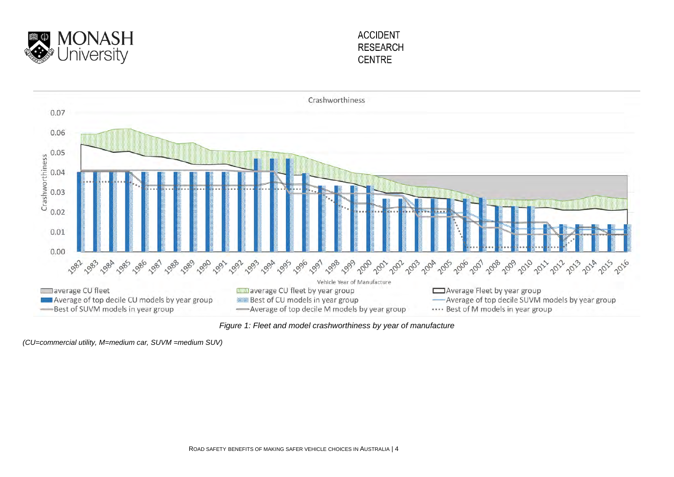



*Figure 1: Fleet and model crashworthiness by year of manufacture* 

<span id="page-16-0"></span>*(CU=commercial utility, M=medium car, SUVM =medium SUV)*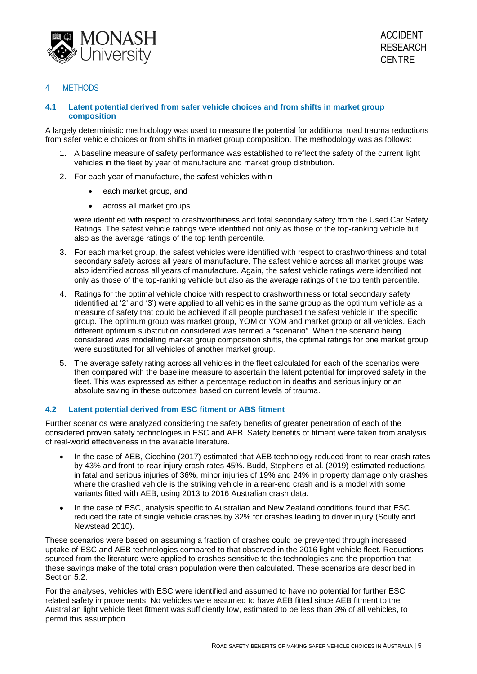

## 4 METHODS

### **4.1 Latent potential derived from safer vehicle choices and from shifts in market group composition**

A largely deterministic methodology was used to measure the potential for additional road trauma reductions from safer vehicle choices or from shifts in market group composition. The methodology was as follows:

- 1. A baseline measure of safety performance was established to reflect the safety of the current light vehicles in the fleet by year of manufacture and market group distribution.
- 2. For each year of manufacture, the safest vehicles within
	- each market group, and
	- across all market groups

were identified with respect to crashworthiness and total secondary safety from the Used Car Safety Ratings. The safest vehicle ratings were identified not only as those of the top-ranking vehicle but also as the average ratings of the top tenth percentile.

- 3. For each market group, the safest vehicles were identified with respect to crashworthiness and total secondary safety across all years of manufacture. The safest vehicle across all market groups was also identified across all years of manufacture. Again, the safest vehicle ratings were identified not only as those of the top-ranking vehicle but also as the average ratings of the top tenth percentile.
- 4. Ratings for the optimal vehicle choice with respect to crashworthiness or total secondary safety (identified at '2' and '3') were applied to all vehicles in the same group as the optimum vehicle as a measure of safety that could be achieved if all people purchased the safest vehicle in the specific group. The optimum group was market group, YOM or YOM and market group or all vehicles. Each different optimum substitution considered was termed a "scenario". When the scenario being considered was modelling market group composition shifts, the optimal ratings for one market group were substituted for all vehicles of another market group.
- 5. The average safety rating across all vehicles in the fleet calculated for each of the scenarios were then compared with the baseline measure to ascertain the latent potential for improved safety in the fleet. This was expressed as either a percentage reduction in deaths and serious injury or an absolute saving in these outcomes based on current levels of trauma.

# **4.2 Latent potential derived from ESC fitment or ABS fitment**

Further scenarios were analyzed considering the safety benefits of greater penetration of each of the considered proven safety technologies in ESC and AEB. Safety benefits of fitment were taken from analysis of real-world effectiveness in the available literature.

- In the case of AEB, Cicchino (2017) estimated that AEB technology reduced front-to-rear crash rates by 43% and front-to-rear injury crash rates 45%. Budd, Stephens et al. (2019) estimated reductions in fatal and serious injuries of 36%, minor injuries of 19% and 24% in property damage only crashes where the crashed vehicle is the striking vehicle in a rear-end crash and is a model with some variants fitted with AEB, using 2013 to 2016 Australian crash data.
- In the case of ESC, analysis specific to Australian and New Zealand conditions found that ESC reduced the rate of single vehicle crashes by 32% for crashes leading to driver injury (Scully and Newstead 2010).

These scenarios were based on assuming a fraction of crashes could be prevented through increased uptake of ESC and AEB technologies compared to that observed in the 2016 light vehicle fleet. Reductions sourced from the literature were applied to crashes sensitive to the technologies and the proportion that these savings make of the total crash population were then calculated. These scenarios are described in Section 5.2.

For the analyses, vehicles with ESC were identified and assumed to have no potential for further ESC related safety improvements. No vehicles were assumed to have AEB fitted since AEB fitment to the Australian light vehicle fleet fitment was sufficiently low, estimated to be less than 3% of all vehicles, to permit this assumption.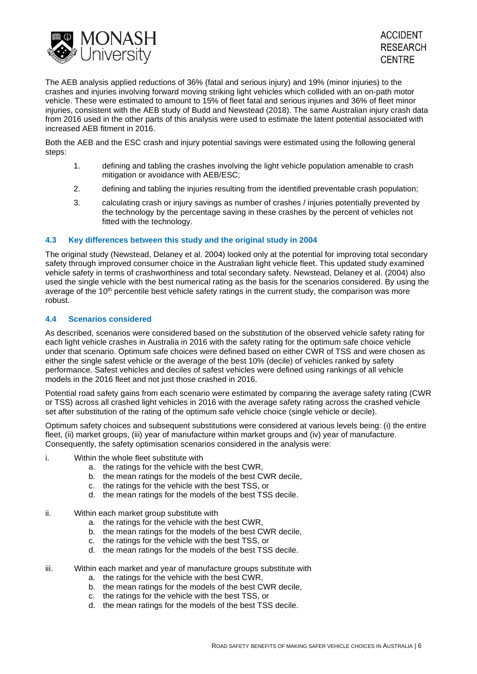

The AEB analysis applied reductions of 36% (fatal and serious injury) and 19% (minor injuries) to the crashes and injuries involving forward moving striking light vehicles which collided with an on-path motor vehicle. These were estimated to amount to 15% of fleet fatal and serious injuries and 36% of fleet minor injuries, consistent with the AEB study of Budd and Newstead (2018). The same Australian injury crash data from 2016 used in the other parts of this analysis were used to estimate the latent potential associated with increased AEB fitment in 2016.

Both the AEB and the ESC crash and injury potential savings were estimated using the following general steps:

- 1. defining and tabling the crashes involving the light vehicle population amenable to crash mitigation or avoidance with AEB/ESC;
- 2. defining and tabling the injuries resulting from the identified preventable crash population;
- 3. calculating crash or injury savings as number of crashes / injuries potentially prevented by the technology by the percentage saving in these crashes by the percent of vehicles not fitted with the technology.

### **4.3 Key differences between this study and the original study in 2004**

The original study (Newstead, Delaney et al. 2004) looked only at the potential for improving total secondary safety through improved consumer choice in the Australian light vehicle fleet. This updated study examined vehicle safety in terms of crashworthiness and total secondary safety. Newstead, Delaney et al. (2004) also used the single vehicle with the best numerical rating as the basis for the scenarios considered. By using the average of the  $10<sup>th</sup>$  percentile best vehicle safety ratings in the current study, the comparison was more robust.

#### **4.4 Scenarios considered**

As described, scenarios were considered based on the substitution of the observed vehicle safety rating for each light vehicle crashes in Australia in 2016 with the safety rating for the optimum safe choice vehicle under that scenario. Optimum safe choices were defined based on either CWR of TSS and were chosen as either the single safest vehicle or the average of the best 10% (decile) of vehicles ranked by safety performance. Safest vehicles and deciles of safest vehicles were defined using rankings of all vehicle models in the 2016 fleet and not just those crashed in 2016.

Potential road safety gains from each scenario were estimated by comparing the average safety rating (CWR or TSS) across all crashed light vehicles in 2016 with the average safety rating across the crashed vehicle set after substitution of the rating of the optimum safe vehicle choice (single vehicle or decile).

Optimum safety choices and subsequent substitutions were considered at various levels being: (i) the entire fleet, (ii) market groups, (iii) year of manufacture within market groups and (iv) year of manufacture. Consequently, the safety optimisation scenarios considered in the analysis were:

- i. Within the whole fleet substitute with
	- a. the ratings for the vehicle with the best CWR,
	- b. the mean ratings for the models of the best CWR decile,
	- c. the ratings for the vehicle with the best TSS, or
	- d. the mean ratings for the models of the best TSS decile.
- ii. Within each market group substitute with
	- a. the ratings for the vehicle with the best CWR,
	- b. the mean ratings for the models of the best CWR decile,
	- c. the ratings for the vehicle with the best TSS, or
	- d. the mean ratings for the models of the best TSS decile.
- iii. Within each market and year of manufacture groups substitute with
	- a. the ratings for the vehicle with the best CWR,
	- b. the mean ratings for the models of the best CWR decile,
	- c. the ratings for the vehicle with the best TSS, or
	- d. the mean ratings for the models of the best TSS decile.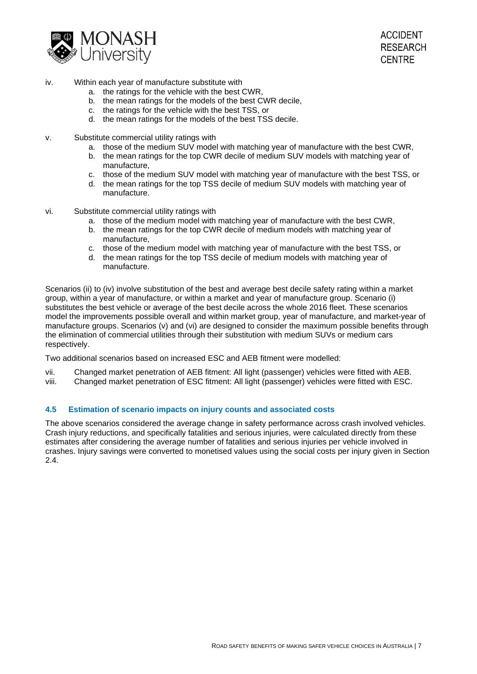

- iv. Within each year of manufacture substitute with
	- a. the ratings for the vehicle with the best CWR,
	- b. the mean ratings for the models of the best CWR decile,
	- c. the ratings for the vehicle with the best TSS, or
	- d. the mean ratings for the models of the best TSS decile.
- v. Substitute commercial utility ratings with
	- a. those of the medium SUV model with matching year of manufacture with the best CWR,
	- b. the mean ratings for the top CWR decile of medium SUV models with matching year of manufacture,
	- c. those of the medium SUV model with matching year of manufacture with the best TSS, or
	- d. the mean ratings for the top TSS decile of medium SUV models with matching year of manufacture.
- vi. Substitute commercial utility ratings with
	- a. those of the medium model with matching year of manufacture with the best CWR,
	- b. the mean ratings for the top CWR decile of medium models with matching year of manufacture,
	- c. those of the medium model with matching year of manufacture with the best TSS, or
	- d. the mean ratings for the top TSS decile of medium models with matching year of manufacture.

Scenarios (ii) to (iv) involve substitution of the best and average best decile safety rating within a market group, within a year of manufacture, or within a market and year of manufacture group. Scenario (i) substitutes the best vehicle or average of the best decile across the whole 2016 fleet. These scenarios model the improvements possible overall and within market group, year of manufacture, and market-year of manufacture groups. Scenarios (v) and (vi) are designed to consider the maximum possible benefits through the elimination of commercial utilities through their substitution with medium SUVs or medium cars respectively.

Two additional scenarios based on increased ESC and AEB fitment were modelled:

- vii. Changed market penetration of AEB fitment: All light (passenger) vehicles were fitted with AEB.
- viii. Changed market penetration of ESC fitment: All light (passenger) vehicles were fitted with ESC.

# **4.5 Estimation of scenario impacts on injury counts and associated costs**

The above scenarios considered the average change in safety performance across crash involved vehicles. Crash injury reductions, and specifically fatalities and serious injuries, were calculated directly from these estimates after considering the average number of fatalities and serious injuries per vehicle involved in crashes. Injury savings were converted to monetised values using the social costs per injury given in Section [2.4.](#page-14-1)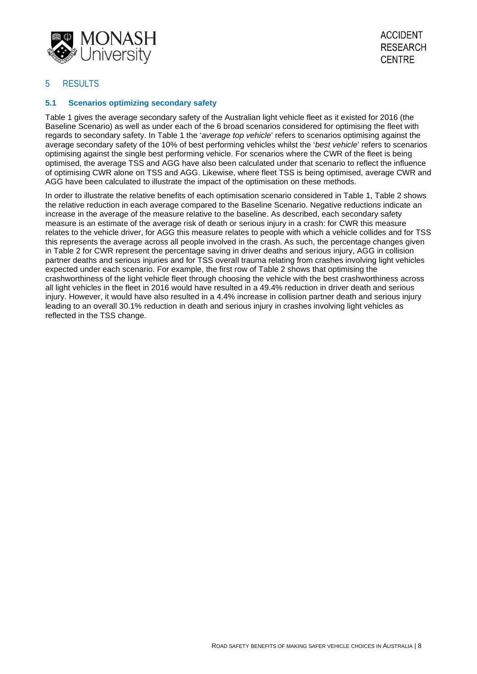

# 5 RESULTS

### **5.1 Scenarios optimizing secondary safety**

Table 1 gives the average secondary safety of the Australian light vehicle fleet as it existed for 2016 (the Baseline Scenario) as well as under each of the 6 broad scenarios considered for optimising the fleet with regards to secondary safety. In Table 1 the '*average top vehicle*' refers to scenarios optimising against the average secondary safety of the 10% of best performing vehicles whilst the '*best vehicle*' refers to scenarios optimising against the single best performing vehicle. For scenarios where the CWR of the fleet is being optimised, the average TSS and AGG have also been calculated under that scenario to reflect the influence of optimising CWR alone on TSS and AGG. Likewise, where fleet TSS is being optimised, average CWR and AGG have been calculated to illustrate the impact of the optimisation on these methods.

In order to illustrate the relative benefits of each optimisation scenario considered in Table 1, Table 2 shows the relative reduction in each average compared to the Baseline Scenario. Negative reductions indicate an increase in the average of the measure relative to the baseline. As described, each secondary safety measure is an estimate of the average risk of death or serious injury in a crash: for CWR this measure relates to the vehicle driver, for AGG this measure relates to people with which a vehicle collides and for TSS this represents the average across all people involved in the crash. As such, the percentage changes given in Table 2 for CWR represent the percentage saving in driver deaths and serious injury, AGG in collision partner deaths and serious injuries and for TSS overall trauma relating from crashes involving light vehicles expected under each scenario. For example, the first row of Table 2 shows that optimising the crashworthiness of the light vehicle fleet through choosing the vehicle with the best crashworthiness across all light vehicles in the fleet in 2016 would have resulted in a 49.4% reduction in driver death and serious injury. However, it would have also resulted in a 4.4% increase in collision partner death and serious injury leading to an overall 30.1% reduction in death and serious injury in crashes involving light vehicles as reflected in the TSS change.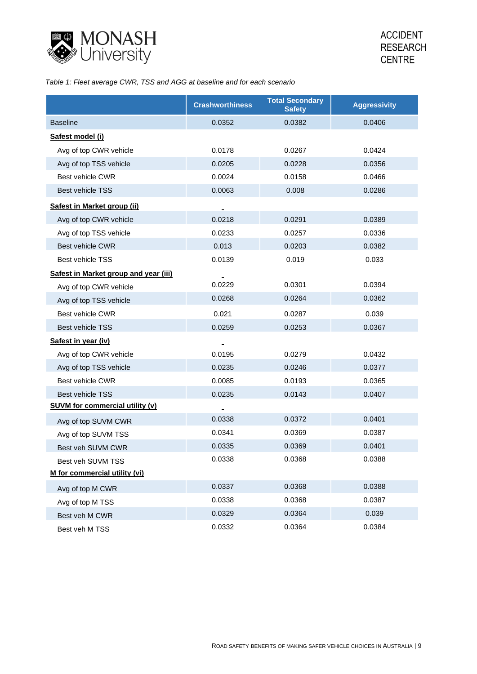

# *Table 1: Fleet average CWR, TSS and AGG at baseline and for each scenario*

|                                        | <b>Crashworthiness</b> | <b>Total Secondary</b><br><b>Safety</b> | <b>Aggressivity</b> |
|----------------------------------------|------------------------|-----------------------------------------|---------------------|
| <b>Baseline</b>                        | 0.0352                 | 0.0382                                  | 0.0406              |
| Safest model (i)                       |                        |                                         |                     |
| Avg of top CWR vehicle                 | 0.0178                 | 0.0267                                  | 0.0424              |
| Avg of top TSS vehicle                 | 0.0205                 | 0.0228                                  | 0.0356              |
| <b>Best vehicle CWR</b>                | 0.0024                 | 0.0158                                  | 0.0466              |
| <b>Best vehicle TSS</b>                | 0.0063                 | 0.008                                   | 0.0286              |
| Safest in Market group (ii)            |                        |                                         |                     |
| Avg of top CWR vehicle                 | 0.0218                 | 0.0291                                  | 0.0389              |
| Avg of top TSS vehicle                 | 0.0233                 | 0.0257                                  | 0.0336              |
| <b>Best vehicle CWR</b>                | 0.013                  | 0.0203                                  | 0.0382              |
| Best vehicle TSS                       | 0.0139                 | 0.019                                   | 0.033               |
| Safest in Market group and year (iii)  |                        |                                         |                     |
| Avg of top CWR vehicle                 | 0.0229                 | 0.0301                                  | 0.0394              |
| Avg of top TSS vehicle                 | 0.0268                 | 0.0264                                  | 0.0362              |
| <b>Best vehicle CWR</b>                | 0.021                  | 0.0287                                  | 0.039               |
| <b>Best vehicle TSS</b>                | 0.0259                 | 0.0253                                  | 0.0367              |
| Safest in year (iv)                    |                        |                                         |                     |
| Avg of top CWR vehicle                 | 0.0195                 | 0.0279                                  | 0.0432              |
| Avg of top TSS vehicle                 | 0.0235                 | 0.0246                                  | 0.0377              |
| <b>Best vehicle CWR</b>                | 0.0085                 | 0.0193                                  | 0.0365              |
| Best vehicle TSS                       | 0.0235                 | 0.0143                                  | 0.0407              |
| <b>SUVM for commercial utility (v)</b> |                        |                                         |                     |
| Avg of top SUVM CWR                    | 0.0338                 | 0.0372                                  | 0.0401              |
| Avg of top SUVM TSS                    | 0.0341                 | 0.0369                                  | 0.0387              |
| Best veh SUVM CWR                      | 0.0335                 | 0.0369                                  | 0.0401              |
| Best veh SUVM TSS                      | 0.0338                 | 0.0368                                  | 0.0388              |
| M for commercial utility (vi)          |                        |                                         |                     |
| Avg of top M CWR                       | 0.0337                 | 0.0368                                  | 0.0388              |
| Avg of top M TSS                       | 0.0338                 | 0.0368                                  | 0.0387              |
| Best veh M CWR                         | 0.0329                 | 0.0364                                  | 0.039               |
| Best veh M TSS                         | 0.0332                 | 0.0364                                  | 0.0384              |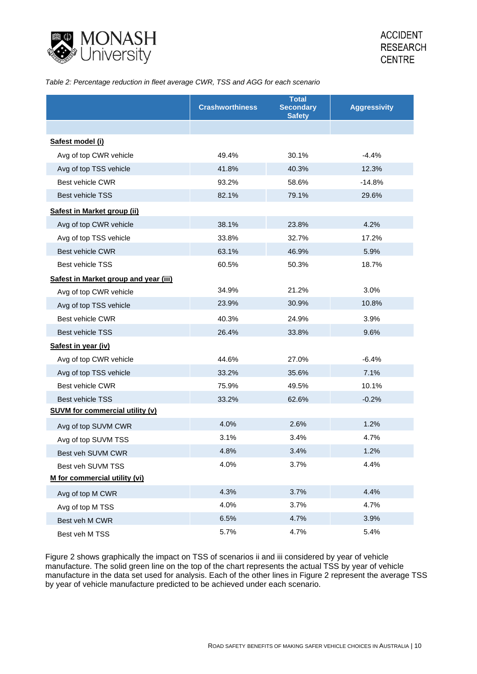

### *Table 2: Percentage reduction in fleet average CWR, TSS and AGG for each scenario*

|                                        | <b>Crashworthiness</b> | <b>Total</b><br><b>Secondary</b><br><b>Safety</b> | <b>Aggressivity</b> |
|----------------------------------------|------------------------|---------------------------------------------------|---------------------|
|                                        |                        |                                                   |                     |
| Safest model (i)                       |                        |                                                   |                     |
| Avg of top CWR vehicle                 | 49.4%                  | 30.1%                                             | $-4.4%$             |
| Avg of top TSS vehicle                 | 41.8%                  | 40.3%                                             | 12.3%               |
| <b>Best vehicle CWR</b>                | 93.2%                  | 58.6%                                             | $-14.8%$            |
| <b>Best vehicle TSS</b>                | 82.1%                  | 79.1%                                             | 29.6%               |
| Safest in Market group (ii)            |                        |                                                   |                     |
| Avg of top CWR vehicle                 | 38.1%                  | 23.8%                                             | 4.2%                |
| Avg of top TSS vehicle                 | 33.8%                  | 32.7%                                             | 17.2%               |
| Best vehicle CWR                       | 63.1%                  | 46.9%                                             | 5.9%                |
| Best vehicle TSS                       | 60.5%                  | 50.3%                                             | 18.7%               |
| Safest in Market group and year (iii)  |                        |                                                   |                     |
| Avg of top CWR vehicle                 | 34.9%                  | 21.2%                                             | 3.0%                |
| Avg of top TSS vehicle                 | 23.9%                  | 30.9%                                             | 10.8%               |
| <b>Best vehicle CWR</b>                | 40.3%                  | 24.9%                                             | 3.9%                |
| <b>Best vehicle TSS</b>                | 26.4%                  | 33.8%                                             | 9.6%                |
| Safest in year (iv)                    |                        |                                                   |                     |
| Avg of top CWR vehicle                 | 44.6%                  | 27.0%                                             | $-6.4%$             |
| Avg of top TSS vehicle                 | 33.2%                  | 35.6%                                             | 7.1%                |
| Best vehicle CWR                       | 75.9%                  | 49.5%                                             | 10.1%               |
| <b>Best vehicle TSS</b>                | 33.2%                  | 62.6%                                             | $-0.2%$             |
| <b>SUVM for commercial utility (v)</b> |                        |                                                   |                     |
| Avg of top SUVM CWR                    | 4.0%                   | 2.6%                                              | 1.2%                |
| Avg of top SUVM TSS                    | 3.1%                   | 3.4%                                              | 4.7%                |
| Best veh SUVM CWR                      | 4.8%                   | 3.4%                                              | 1.2%                |
| Best veh SUVM TSS                      | 4.0%                   | 3.7%                                              | 4.4%                |
| M for commercial utility (vi)          |                        |                                                   |                     |
| Avg of top M CWR                       | 4.3%                   | 3.7%                                              | 4.4%                |
| Avg of top M TSS                       | 4.0%                   | 3.7%                                              | 4.7%                |
| Best veh M CWR                         | 6.5%                   | 4.7%                                              | 3.9%                |
| Best veh M TSS                         | 5.7%                   | 4.7%                                              | 5.4%                |

Figure 2 shows graphically the impact on TSS of scenarios ii and iii considered by year of vehicle manufacture. The solid green line on the top of the chart represents the actual TSS by year of vehicle manufacture in the data set used for analysis. Each of the other lines in Figure 2 represent the average TSS by year of vehicle manufacture predicted to be achieved under each scenario.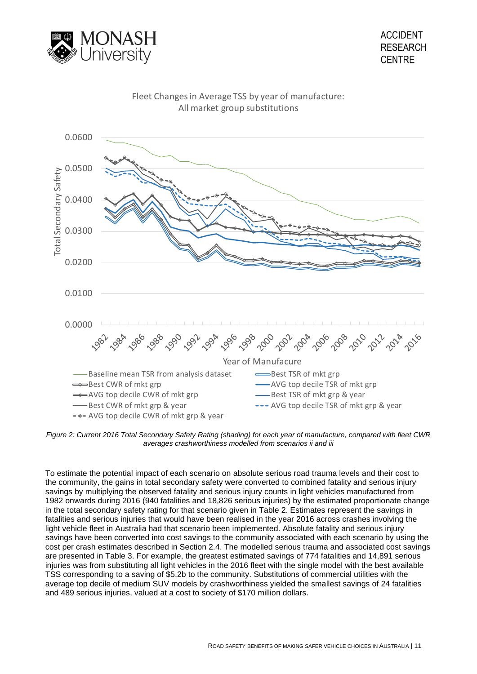



#### *Figure 2: Current 2016 Total Secondary Safety Rating (shading) for each year of manufacture, compared with fleet CWR averages crashworthiness modelled from scenarios ii and iii*

To estimate the potential impact of each scenario on absolute serious road trauma levels and their cost to the community, the gains in total secondary safety were converted to combined fatality and serious injury savings by multiplying the observed fatality and serious injury counts in light vehicles manufactured from 1982 onwards during 2016 (940 fatalities and 18,826 serious injuries) by the estimated proportionate change in the total secondary safety rating for that scenario given in Table 2. Estimates represent the savings in fatalities and serious injuries that would have been realised in the year 2016 across crashes involving the light vehicle fleet in Australia had that scenario been implemented. Absolute fatality and serious injury savings have been converted into cost savings to the community associated with each scenario by using the cost per crash estimates described in Section 2.4. The modelled serious trauma and associated cost savings are presented in [Table 3.](#page-24-0) For example, the greatest estimated savings of 774 fatalities and 14,891 serious injuries was from substituting all light vehicles in the 2016 fleet with the single model with the best available TSS corresponding to a saving of \$5.2b to the community. Substitutions of commercial utilities with the average top decile of medium SUV models by crashworthiness yielded the smallest savings of 24 fatalities and 489 serious injuries, valued at a cost to society of \$170 million dollars.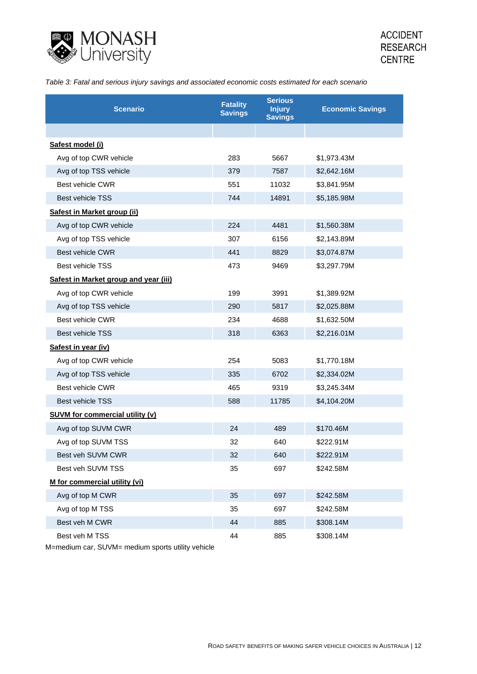

<span id="page-24-0"></span>*Table 3: Fatal and serious injury savings and associated economic costs estimated for each scenario*

| <b>Scenario</b>                        | <b>Fatality</b><br><b>Savings</b> | <b>Serious</b><br><b>Injury</b><br><b>Savings</b> | <b>Economic Savings</b> |
|----------------------------------------|-----------------------------------|---------------------------------------------------|-------------------------|
|                                        |                                   |                                                   |                         |
| Safest model (i)                       |                                   |                                                   |                         |
| Avg of top CWR vehicle                 | 283                               | 5667                                              | \$1,973.43M             |
| Avg of top TSS vehicle                 | 379                               | 7587                                              | \$2,642.16M             |
| Best vehicle CWR                       | 551                               | 11032                                             | \$3,841.95M             |
| <b>Best vehicle TSS</b>                | 744                               | 14891                                             | \$5,185.98M             |
| Safest in Market group (ii)            |                                   |                                                   |                         |
| Avg of top CWR vehicle                 | 224                               | 4481                                              | \$1,560.38M             |
| Avg of top TSS vehicle                 | 307                               | 6156                                              | \$2,143.89M             |
| <b>Best vehicle CWR</b>                | 441                               | 8829                                              | \$3,074.87M             |
| <b>Best vehicle TSS</b>                | 473                               | 9469                                              | \$3,297.79M             |
| Safest in Market group and year (iii)  |                                   |                                                   |                         |
| Avg of top CWR vehicle                 | 199                               | 3991                                              | \$1,389.92M             |
| Avg of top TSS vehicle                 | 290                               | 5817                                              | \$2,025.88M             |
| Best vehicle CWR                       | 234                               | 4688                                              | \$1,632.50M             |
| <b>Best vehicle TSS</b>                | 318                               | 6363                                              | \$2,216.01M             |
| Safest in year (iv)                    |                                   |                                                   |                         |
| Avg of top CWR vehicle                 | 254                               | 5083                                              | \$1,770.18M             |
| Avg of top TSS vehicle                 | 335                               | 6702                                              | \$2,334.02M             |
| Best vehicle CWR                       | 465                               | 9319                                              | \$3,245.34M             |
| <b>Best vehicle TSS</b>                | 588                               | 11785                                             | \$4,104.20M             |
| <b>SUVM for commercial utility (v)</b> |                                   |                                                   |                         |
| Avg of top SUVM CWR                    | 24                                | 489                                               | \$170.46M               |
| Avg of top SUVM TSS                    | 32                                | 640                                               | \$222.91M               |
| Best veh SUVM CWR                      | 32                                | 640                                               | \$222.91M               |
| Best veh SUVM TSS                      | 35                                | 697                                               | \$242.58M               |
| M for commercial utility (vi)          |                                   |                                                   |                         |
| Avg of top M CWR                       | 35                                | 697                                               | \$242.58M               |
| Avg of top M TSS                       | 35                                | 697                                               | \$242.58M               |
| Best veh M CWR                         | 44                                | 885                                               | \$308.14M               |
| Best veh M TSS                         | 44                                | 885                                               | \$308.14M               |

M=medium car, SUVM= medium sports utility vehicle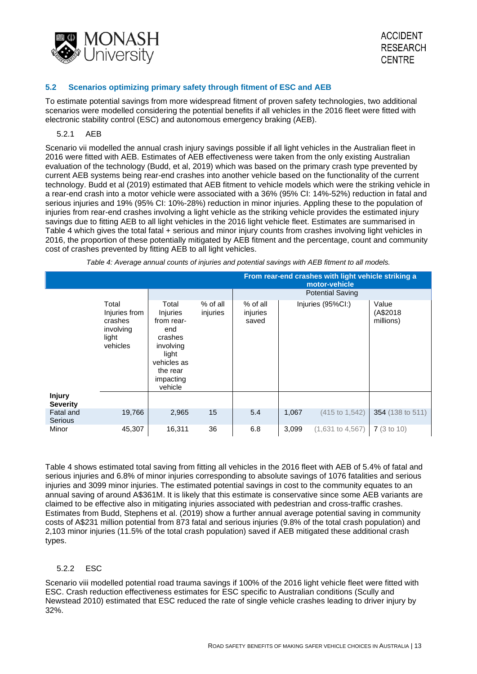

# **5.2 Scenarios optimizing primary safety through fitment of ESC and AEB**

To estimate potential savings from more widespread fitment of proven safety technologies, two additional scenarios were modelled considering the potential benefits if all vehicles in the 2016 fleet were fitted with electronic stability control (ESC) and autonomous emergency braking (AEB).

## 5.2.1 AEB

Scenario vii modelled the annual crash injury savings possible if all light vehicles in the Australian fleet in 2016 were fitted with AEB. Estimates of AEB effectiveness were taken from the only existing Australian evaluation of the technology (Budd, et al, 2019) which was based on the primary crash type prevented by current AEB systems being rear-end crashes into another vehicle based on the functionality of the current technology. Budd et al (2019) estimated that AEB fitment to vehicle models which were the striking vehicle in a rear-end crash into a motor vehicle were associated with a 36% (95% CI: 14%-52%) reduction in fatal and serious injuries and 19% (95% CI: 10%-28%) reduction in minor injuries. Appling these to the population of injuries from rear-end crashes involving a light vehicle as the striking vehicle provides the estimated injury savings due to fitting AEB to all light vehicles in the 2016 light vehicle fleet. Estimates are summarised in Table 4 which gives the total fatal + serious and minor injury counts from crashes involving light vehicles in 2016, the proportion of these potentially mitigated by AEB fitment and the percentage, count and community cost of crashes prevented by fitting AEB to all light vehicles.

*Table 4: Average annual counts of injuries and potential savings with AEB fitment to all models.* 

|                                  |                                                                     |                                                                                                                                   |                      | From rear-end crashes with light vehicle striking a<br>motor-vehicle |       |                         |                                |  |
|----------------------------------|---------------------------------------------------------------------|-----------------------------------------------------------------------------------------------------------------------------------|----------------------|----------------------------------------------------------------------|-------|-------------------------|--------------------------------|--|
|                                  |                                                                     |                                                                                                                                   |                      |                                                                      |       | <b>Potential Saving</b> |                                |  |
|                                  | Total<br>Injuries from<br>crashes<br>involving<br>light<br>vehicles | Total<br><i>Injuries</i><br>from rear-<br>end<br>crashes<br>involving<br>light<br>vehicles as<br>the rear<br>impacting<br>vehicle | % of all<br>injuries | % of all<br>injuries<br>saved                                        |       | Injuries (95%CI:)       | Value<br>(A\$2018<br>millions) |  |
| <b>Injury</b><br><b>Severity</b> |                                                                     |                                                                                                                                   |                      |                                                                      |       |                         |                                |  |
| Fatal and<br>Serious             | 19,766                                                              | 2,965                                                                                                                             | 15                   | 5.4                                                                  | 1,067 | (415 to 1,542)          | 354 (138 to 511)               |  |
| Minor                            | 45,307                                                              | 16,311                                                                                                                            | 36                   | 6.8                                                                  | 3,099 | $(1,631$ to $4,567)$    | 7(3 to 10)                     |  |

Table 4 shows estimated total saving from fitting all vehicles in the 2016 fleet with AEB of 5.4% of fatal and serious injuries and 6.8% of minor injuries corresponding to absolute savings of 1076 fatalities and serious injuries and 3099 minor injuries. The estimated potential savings in cost to the community equates to an annual saving of around A\$361M. It is likely that this estimate is conservative since some AEB variants are claimed to be effective also in mitigating injuries associated with pedestrian and cross-traffic crashes. Estimates from Budd, Stephens et al. (2019) show a further annual average potential saving in community costs of A\$231 million potential from 873 fatal and serious injuries (9.8% of the total crash population) and 2,103 minor injuries (11.5% of the total crash population) saved if AEB mitigated these additional crash types.

# 5.2.2 ESC

Scenario viii modelled potential road trauma savings if 100% of the 2016 light vehicle fleet were fitted with ESC. Crash reduction effectiveness estimates for ESC specific to Australian conditions (Scully and Newstead 2010) estimated that ESC reduced the rate of single vehicle crashes leading to driver injury by 32%.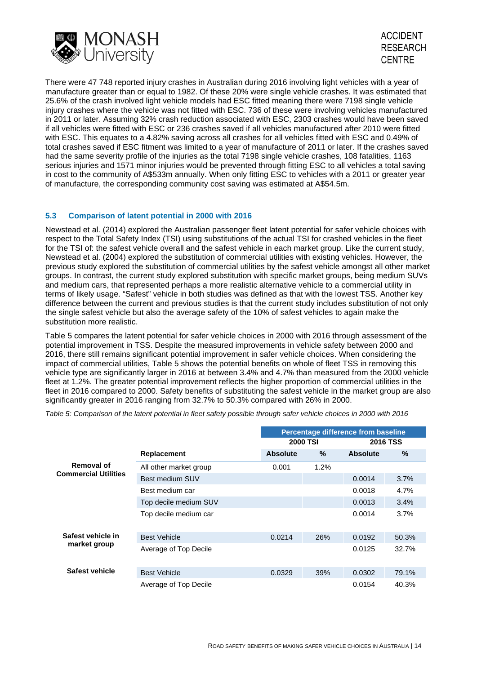



There were 47 748 reported injury crashes in Australian during 2016 involving light vehicles with a year of manufacture greater than or equal to 1982. Of these 20% were single vehicle crashes. It was estimated that 25.6% of the crash involved light vehicle models had ESC fitted meaning there were 7198 single vehicle injury crashes where the vehicle was not fitted with ESC. 736 of these were involving vehicles manufactured in 2011 or later. Assuming 32% crash reduction associated with ESC, 2303 crashes would have been saved if all vehicles were fitted with ESC or 236 crashes saved if all vehicles manufactured after 2010 were fitted with ESC. This equates to a 4.82% saving across all crashes for all vehicles fitted with ESC and 0.49% of total crashes saved if ESC fitment was limited to a year of manufacture of 2011 or later. If the crashes saved had the same severity profile of the injuries as the total 7198 single vehicle crashes, 108 fatalities, 1163 serious injuries and 1571 minor injuries would be prevented through fitting ESC to all vehicles a total saving in cost to the community of A\$533m annually. When only fitting ESC to vehicles with a 2011 or greater year of manufacture, the corresponding community cost saving was estimated at A\$54.5m.

# **5.3 Comparison of latent potential in 2000 with 2016**

Newstead et al. (2014) explored the Australian passenger fleet latent potential for safer vehicle choices with respect to the Total Safety Index (TSI) using substitutions of the actual TSI for crashed vehicles in the fleet for the TSI of: the safest vehicle overall and the safest vehicle in each market group. Like the current study, Newstead et al. (2004) explored the substitution of commercial utilities with existing vehicles. However, the previous study explored the substitution of commercial utilities by the safest vehicle amongst all other market groups. In contrast, the current study explored substitution with specific market groups, being medium SUVs and medium cars, that represented perhaps a more realistic alternative vehicle to a commercial utility in terms of likely usage. "Safest" vehicle in both studies was defined as that with the lowest TSS. Another key difference between the current and previous studies is that the current study includes substitution of not only the single safest vehicle but also the average safety of the 10% of safest vehicles to again make the substitution more realistic.

[Table 5](#page-26-0) compares the latent potential for safer vehicle choices in 2000 with 2016 through assessment of the potential improvement in TSS. Despite the measured improvements in vehicle safety between 2000 and 2016, there still remains significant potential improvement in safer vehicle choices. When considering the impact of commercial utilities, [Table 5](#page-26-0) shows the potential benefits on whole of fleet TSS in removing this vehicle type are significantly larger in 2016 at between 3.4% and 4.7% than measured from the 2000 vehicle fleet at 1.2%. The greater potential improvement reflects the higher proportion of commercial utilities in the fleet in 2016 compared to 2000. Safety benefits of substituting the safest vehicle in the market group are also significantly greater in 2016 ranging from 32.7% to 50.3% compared with 26% in 2000.

<span id="page-26-0"></span>*Table 5: Comparison of the latent potential in fleet safety possible through safer vehicle choices in 2000 with 2016*

|                                   |                        | Percentage difference from baseline |                 |                 |       |
|-----------------------------------|------------------------|-------------------------------------|-----------------|-----------------|-------|
|                                   |                        |                                     | <b>2000 TSI</b> | <b>2016 TSS</b> |       |
|                                   | <b>Replacement</b>     | <b>Absolute</b>                     | $\%$            | <b>Absolute</b> | $\%$  |
| Removal of                        | All other market group | 0.001                               | 1.2%            |                 |       |
| <b>Commercial Utilities</b>       | Best medium SUV        |                                     |                 | 0.0014          | 3.7%  |
|                                   | Best medium car        |                                     |                 | 0.0018          | 4.7%  |
|                                   | Top decile medium SUV  |                                     |                 | 0.0013          | 3.4%  |
|                                   | Top decile medium car  |                                     |                 | 0.0014          | 3.7%  |
|                                   |                        |                                     |                 |                 |       |
| Safest vehicle in<br>market group | <b>Best Vehicle</b>    | 0.0214                              | 26%             | 0.0192          | 50.3% |
|                                   | Average of Top Decile  |                                     |                 | 0.0125          | 32.7% |
|                                   |                        |                                     |                 |                 |       |
| Safest vehicle                    | <b>Best Vehicle</b>    | 0.0329                              | 39%             | 0.0302          | 79.1% |
|                                   | Average of Top Decile  |                                     |                 | 0.0154          | 40.3% |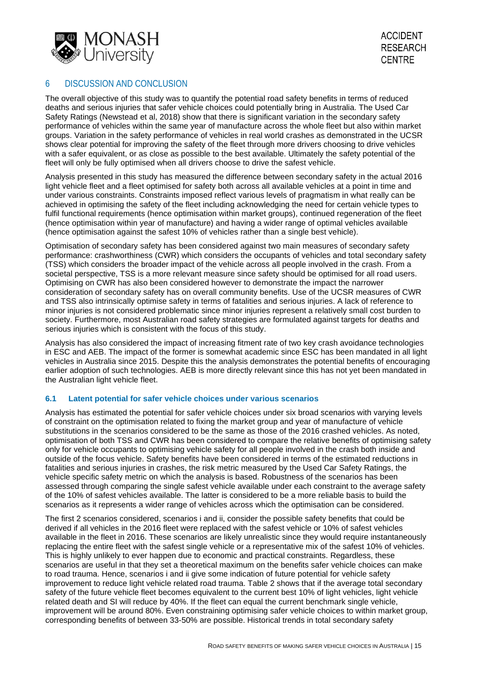

# 6 DISCUSSION AND CONCLUSION

The overall objective of this study was to quantify the potential road safety benefits in terms of reduced deaths and serious injuries that safer vehicle choices could potentially bring in Australia. The Used Car Safety Ratings (Newstead et al, 2018) show that there is significant variation in the secondary safety performance of vehicles within the same year of manufacture across the whole fleet but also within market groups. Variation in the safety performance of vehicles in real world crashes as demonstrated in the UCSR shows clear potential for improving the safety of the fleet through more drivers choosing to drive vehicles with a safer equivalent, or as close as possible to the best available. Ultimately the safety potential of the fleet will only be fully optimised when all drivers choose to drive the safest vehicle.

Analysis presented in this study has measured the difference between secondary safety in the actual 2016 light vehicle fleet and a fleet optimised for safety both across all available vehicles at a point in time and under various constraints. Constraints imposed reflect various levels of pragmatism in what really can be achieved in optimising the safety of the fleet including acknowledging the need for certain vehicle types to fulfil functional requirements (hence optimisation within market groups), continued regeneration of the fleet (hence optimisation within year of manufacture) and having a wider range of optimal vehicles available (hence optimisation against the safest 10% of vehicles rather than a single best vehicle).

Optimisation of secondary safety has been considered against two main measures of secondary safety performance: crashworthiness (CWR) which considers the occupants of vehicles and total secondary safety (TSS) which considers the broader impact of the vehicle across all people involved in the crash. From a societal perspective, TSS is a more relevant measure since safety should be optimised for all road users. Optimising on CWR has also been considered however to demonstrate the impact the narrower consideration of secondary safety has on overall community benefits. Use of the UCSR measures of CWR and TSS also intrinsically optimise safety in terms of fatalities and serious injuries. A lack of reference to minor injuries is not considered problematic since minor injuries represent a relatively small cost burden to society. Furthermore, most Australian road safety strategies are formulated against targets for deaths and serious injuries which is consistent with the focus of this study.

Analysis has also considered the impact of increasing fitment rate of two key crash avoidance technologies in ESC and AEB. The impact of the former is somewhat academic since ESC has been mandated in all light vehicles in Australia since 2015. Despite this the analysis demonstrates the potential benefits of encouraging earlier adoption of such technologies. AEB is more directly relevant since this has not yet been mandated in the Australian light vehicle fleet.

### **6.1 Latent potential for safer vehicle choices under various scenarios**

Analysis has estimated the potential for safer vehicle choices under six broad scenarios with varying levels of constraint on the optimisation related to fixing the market group and year of manufacture of vehicle substitutions in the scenarios considered to be the same as those of the 2016 crashed vehicles. As noted, optimisation of both TSS and CWR has been considered to compare the relative benefits of optimising safety only for vehicle occupants to optimising vehicle safety for all people involved in the crash both inside and outside of the focus vehicle. Safety benefits have been considered in terms of the estimated reductions in fatalities and serious injuries in crashes, the risk metric measured by the Used Car Safety Ratings, the vehicle specific safety metric on which the analysis is based. Robustness of the scenarios has been assessed through comparing the single safest vehicle available under each constraint to the average safety of the 10% of safest vehicles available. The latter is considered to be a more reliable basis to build the scenarios as it represents a wider range of vehicles across which the optimisation can be considered.

The first 2 scenarios considered, scenarios i and ii, consider the possible safety benefits that could be derived if all vehicles in the 2016 fleet were replaced with the safest vehicle or 10% of safest vehicles available in the fleet in 2016. These scenarios are likely unrealistic since they would require instantaneously replacing the entire fleet with the safest single vehicle or a representative mix of the safest 10% of vehicles. This is highly unlikely to ever happen due to economic and practical constraints. Regardless, these scenarios are useful in that they set a theoretical maximum on the benefits safer vehicle choices can make to road trauma. Hence, scenarios i and ii give some indication of future potential for vehicle safety improvement to reduce light vehicle related road trauma. Table 2 shows that if the average total secondary safety of the future vehicle fleet becomes equivalent to the current best 10% of light vehicles, light vehicle related death and SI will reduce by 40%. If the fleet can equal the current benchmark single vehicle, improvement will be around 80%. Even constraining optimising safer vehicle choices to within market group, corresponding benefits of between 33-50% are possible. Historical trends in total secondary safety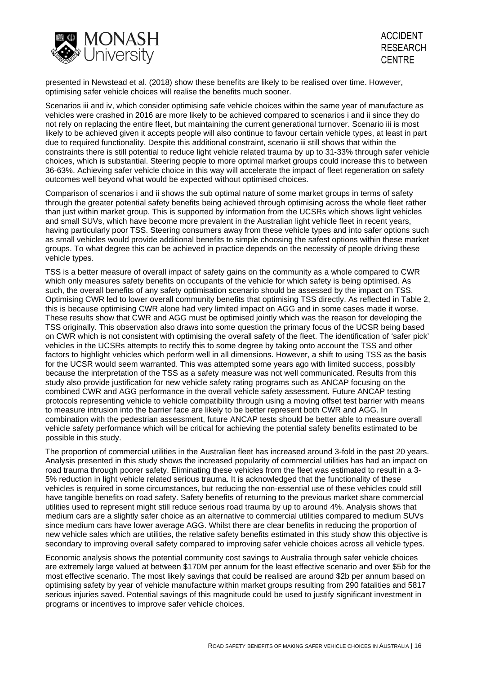

presented in Newstead et al. (2018) show these benefits are likely to be realised over time. However, optimising safer vehicle choices will realise the benefits much sooner.

Scenarios iii and iv, which consider optimising safe vehicle choices within the same year of manufacture as vehicles were crashed in 2016 are more likely to be achieved compared to scenarios i and ii since they do not rely on replacing the entire fleet, but maintaining the current generational turnover. Scenario iii is most likely to be achieved given it accepts people will also continue to favour certain vehicle types, at least in part due to required functionality. Despite this additional constraint, scenario iii still shows that within the constraints there is still potential to reduce light vehicle related trauma by up to 31-33% through safer vehicle choices, which is substantial. Steering people to more optimal market groups could increase this to between 36-63%. Achieving safer vehicle choice in this way will accelerate the impact of fleet regeneration on safety outcomes well beyond what would be expected without optimised choices.

Comparison of scenarios i and ii shows the sub optimal nature of some market groups in terms of safety through the greater potential safety benefits being achieved through optimising across the whole fleet rather than just within market group. This is supported by information from the UCSRs which shows light vehicles and small SUVs, which have become more prevalent in the Australian light vehicle fleet in recent years, having particularly poor TSS. Steering consumers away from these vehicle types and into safer options such as small vehicles would provide additional benefits to simple choosing the safest options within these market groups. To what degree this can be achieved in practice depends on the necessity of people driving these vehicle types.

TSS is a better measure of overall impact of safety gains on the community as a whole compared to CWR which only measures safety benefits on occupants of the vehicle for which safety is being optimised. As such, the overall benefits of any safety optimisation scenario should be assessed by the impact on TSS. Optimising CWR led to lower overall community benefits that optimising TSS directly. As reflected in Table 2, this is because optimising CWR alone had very limited impact on AGG and in some cases made it worse. These results show that CWR and AGG must be optimised jointly which was the reason for developing the TSS originally. This observation also draws into some question the primary focus of the UCSR being based on CWR which is not consistent with optimising the overall safety of the fleet. The identification of 'safer pick' vehicles in the UCSRs attempts to rectify this to some degree by taking onto account the TSS and other factors to highlight vehicles which perform well in all dimensions. However, a shift to using TSS as the basis for the UCSR would seem warranted. This was attempted some years ago with limited success, possibly because the interpretation of the TSS as a safety measure was not well communicated. Results from this study also provide justification for new vehicle safety rating programs such as ANCAP focusing on the combined CWR and AGG performance in the overall vehicle safety assessment. Future ANCAP testing protocols representing vehicle to vehicle compatibility through using a moving offset test barrier with means to measure intrusion into the barrier face are likely to be better represent both CWR and AGG. In combination with the pedestrian assessment, future ANCAP tests should be better able to measure overall vehicle safety performance which will be critical for achieving the potential safety benefits estimated to be possible in this study.

The proportion of commercial utilities in the Australian fleet has increased around 3-fold in the past 20 years. Analysis presented in this study shows the increased popularity of commercial utilities has had an impact on road trauma through poorer safety. Eliminating these vehicles from the fleet was estimated to result in a 3- 5% reduction in light vehicle related serious trauma. It is acknowledged that the functionality of these vehicles is required in some circumstances, but reducing the non-essential use of these vehicles could still have tangible benefits on road safety. Safety benefits of returning to the previous market share commercial utilities used to represent might still reduce serious road trauma by up to around 4%. Analysis shows that medium cars are a slightly safer choice as an alternative to commercial utilities compared to medium SUVs since medium cars have lower average AGG. Whilst there are clear benefits in reducing the proportion of new vehicle sales which are utilities, the relative safety benefits estimated in this study show this objective is secondary to improving overall safety compared to improving safer vehicle choices across all vehicle types.

Economic analysis shows the potential community cost savings to Australia through safer vehicle choices are extremely large valued at between \$170M per annum for the least effective scenario and over \$5b for the most effective scenario. The most likely savings that could be realised are around \$2b per annum based on optimising safety by year of vehicle manufacture within market groups resulting from 290 fatalities and 5817 serious injuries saved. Potential savings of this magnitude could be used to justify significant investment in programs or incentives to improve safer vehicle choices.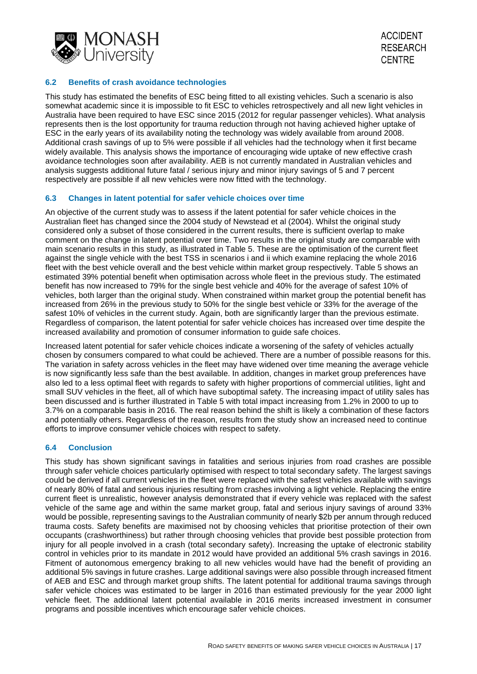

# **6.2 Benefits of crash avoidance technologies**

This study has estimated the benefits of ESC being fitted to all existing vehicles. Such a scenario is also somewhat academic since it is impossible to fit ESC to vehicles retrospectively and all new light vehicles in Australia have been required to have ESC since 2015 (2012 for regular passenger vehicles). What analysis represents then is the lost opportunity for trauma reduction through not having achieved higher uptake of ESC in the early years of its availability noting the technology was widely available from around 2008. Additional crash savings of up to 5% were possible if all vehicles had the technology when it first became widely available. This analysis shows the importance of encouraging wide uptake of new effective crash avoidance technologies soon after availability. AEB is not currently mandated in Australian vehicles and analysis suggests additional future fatal / serious injury and minor injury savings of 5 and 7 percent respectively are possible if all new vehicles were now fitted with the technology.

# **6.3 Changes in latent potential for safer vehicle choices over time**

An objective of the current study was to assess if the latent potential for safer vehicle choices in the Australian fleet has changed since the 2004 study of Newstead et al (2004). Whilst the original study considered only a subset of those considered in the current results, there is sufficient overlap to make comment on the change in latent potential over time. Two results in the original study are comparable with main scenario results in this study, as illustrated in Table 5. These are the optimisation of the current fleet against the single vehicle with the best TSS in scenarios i and ii which examine replacing the whole 2016 fleet with the best vehicle overall and the best vehicle within market group respectively. Table 5 shows an estimated 39% potential benefit when optimisation across whole fleet in the previous study. The estimated benefit has now increased to 79% for the single best vehicle and 40% for the average of safest 10% of vehicles, both larger than the original study. When constrained within market group the potential benefit has increased from 26% in the previous study to 50% for the single best vehicle or 33% for the average of the safest 10% of vehicles in the current study. Again, both are significantly larger than the previous estimate. Regardless of comparison, the latent potential for safer vehicle choices has increased over time despite the increased availability and promotion of consumer information to guide safe choices.

Increased latent potential for safer vehicle choices indicate a worsening of the safety of vehicles actually chosen by consumers compared to what could be achieved. There are a number of possible reasons for this. The variation in safety across vehicles in the fleet may have widened over time meaning the average vehicle is now significantly less safe than the best available. In addition, changes in market group preferences have also led to a less optimal fleet with regards to safety with higher proportions of commercial utilities, light and small SUV vehicles in the fleet, all of which have suboptimal safety. The increasing impact of utility sales has been discussed and is further illustrated in Table 5 with total impact increasing from 1.2% in 2000 to up to 3.7% on a comparable basis in 2016. The real reason behind the shift is likely a combination of these factors and potentially others. Regardless of the reason, results from the study show an increased need to continue efforts to improve consumer vehicle choices with respect to safety.

# **6.4 Conclusion**

This study has shown significant savings in fatalities and serious injuries from road crashes are possible through safer vehicle choices particularly optimised with respect to total secondary safety. The largest savings could be derived if all current vehicles in the fleet were replaced with the safest vehicles available with savings of nearly 80% of fatal and serious injuries resulting from crashes involving a light vehicle. Replacing the entire current fleet is unrealistic, however analysis demonstrated that if every vehicle was replaced with the safest vehicle of the same age and within the same market group, fatal and serious injury savings of around 33% would be possible, representing savings to the Australian community of nearly \$2b per annum through reduced trauma costs. Safety benefits are maximised not by choosing vehicles that prioritise protection of their own occupants (crashworthiness) but rather through choosing vehicles that provide best possible protection from injury for all people involved in a crash (total secondary safety). Increasing the uptake of electronic stability control in vehicles prior to its mandate in 2012 would have provided an additional 5% crash savings in 2016. Fitment of autonomous emergency braking to all new vehicles would have had the benefit of providing an additional 5% savings in future crashes. Large additional savings were also possible through increased fitment of AEB and ESC and through market group shifts. The latent potential for additional trauma savings through safer vehicle choices was estimated to be larger in 2016 than estimated previously for the year 2000 light vehicle fleet. The additional latent potential available in 2016 merits increased investment in consumer programs and possible incentives which encourage safer vehicle choices.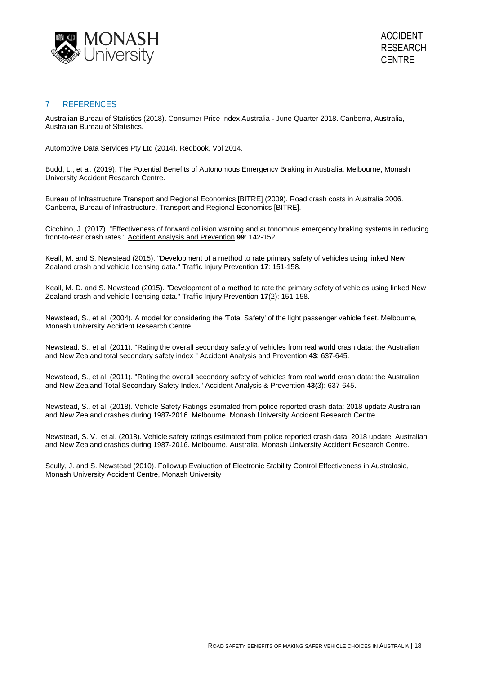

# 7 REFERENCES

Australian Bureau of Statistics (2018). Consumer Price Index Australia - June Quarter 2018. Canberra, Australia, Australian Bureau of Statistics.

Automotive Data Services Pty Ltd (2014). Redbook, Vol 2014.

Budd, L., et al. (2019). The Potential Benefits of Autonomous Emergency Braking in Australia. Melbourne, Monash University Accident Research Centre.

Bureau of Infrastructure Transport and Regional Economics [BITRE] (2009). Road crash costs in Australia 2006. Canberra, Bureau of Infrastructure, Transport and Regional Economics [BITRE].

Cicchino, J. (2017). "Effectiveness of forward collision warning and autonomous emergency braking systems in reducing front-to-rear crash rates." Accident Analysis and Prevention **99**: 142-152.

Keall, M. and S. Newstead (2015). "Development of a method to rate primary safety of vehicles using linked New Zealand crash and vehicle licensing data." Traffic Injury Prevention **17**: 151-158.

Keall, M. D. and S. Newstead (2015). "Development of a method to rate the primary safety of vehicles using linked New Zealand crash and vehicle licensing data." Traffic Injury Prevention **17**(2): 151-158.

Newstead, S., et al. (2004). A model for considering the 'Total Safety' of the light passenger vehicle fleet. Melbourne, Monash University Accident Research Centre.

Newstead, S., et al. (2011). "Rating the overall secondary safety of vehicles from real world crash data: the Australian and New Zealand total secondary safety index " Accident Analysis and Prevention **43**: 637-645.

Newstead, S., et al. (2011). "Rating the overall secondary safety of vehicles from real world crash data: the Australian and New Zealand Total Secondary Safety Index." Accident Analysis & Prevention **43**(3): 637-645.

Newstead, S., et al. (2018). Vehicle Safety Ratings estimated from police reported crash data: 2018 update Australian and New Zealand crashes during 1987-2016. Melbourne, Monash University Accident Research Centre.

Newstead, S. V., et al. (2018). Vehicle safety ratings estimated from police reported crash data: 2018 update: Australian and New Zealand crashes during 1987-2016. Melbourne, Australia, Monash University Accident Research Centre.

Scully, J. and S. Newstead (2010). Followup Evaluation of Electronic Stability Control Effectiveness in Australasia, Monash University Accident Centre, Monash University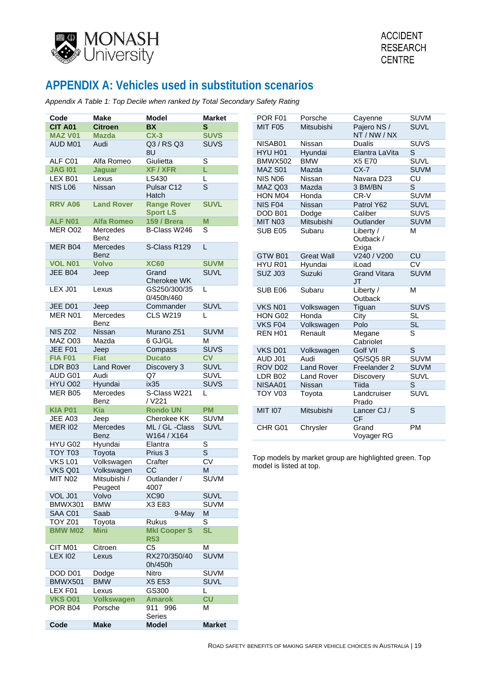

# **APPENDIX A: Vehicles used in substitution scenarios**

<span id="page-31-0"></span>*Appendix A Table 1: Top Decile when ranked by Total Secondary Safety Rating*

|                |                   |                     |                          |                         |                   |                                                       | <b>SUVM</b>             |
|----------------|-------------------|---------------------|--------------------------|-------------------------|-------------------|-------------------------------------------------------|-------------------------|
| Code           | <b>Make</b>       | <b>Model</b>        | <b>Market</b>            | POR F01                 | Porsche           | Cayenne                                               |                         |
| <b>CIT A01</b> | <b>Citroen</b>    | <b>BX</b>           | $\mathbf{s}$             | MIT F05                 | Mitsubishi        | Pajero NS /                                           | <b>SUVL</b>             |
| <b>MAZ V01</b> | <b>Mazda</b>      | $CX-3$              | <b>SUVS</b>              |                         |                   | NT / NW / NX                                          |                         |
| AUD M01        | Audi              | Q3 / RS Q3          | <b>SUVS</b>              | NISAB01                 | Nissan            | <b>Dualis</b>                                         | <b>SUVS</b>             |
|                |                   | 8U                  |                          | HYU H01                 | Hyundai           | Elantra LaVita                                        | $\mathsf S$             |
| ALF C01        | Alfa Romeo        | Giulietta           | $\mathbb S$              | <b>BMWX502</b>          | <b>BMW</b>        | X5 E70                                                | <b>SUVL</b>             |
| <b>JAG 101</b> | <b>Jaguar</b>     | <b>XF / XFR</b>     | L                        | MAZ S01                 | Mazda             | $CX-7$                                                | <b>SUVM</b>             |
| LEX B01        | Lexus             | LS430               | L                        | NIS N06                 | Nissan            | Navara D23                                            | <b>CU</b>               |
| <b>NIS L06</b> | Nissan            | Pulsar C12          | $\overline{\mathbf{s}}$  | MAZ Q03                 | Mazda             | 3 BM/BN                                               | S                       |
|                |                   | Hatch               |                          | HON M04                 | Honda             | CR-V                                                  | <b>SUVM</b>             |
| <b>RRV A06</b> | <b>Land Rover</b> | <b>Range Rover</b>  | <b>SUVL</b>              | NIS F04                 | Nissan            | Patrol Y62                                            | <b>SUVL</b>             |
|                |                   | <b>Sport LS</b>     |                          | DOD B01                 | Dodge             | Caliber                                               | <b>SUVS</b>             |
| ALF N01        | <b>Alfa Romeo</b> | <b>159 / Brera</b>  | M                        | MIT N03                 | Mitsubishi        | Outlander                                             | <b>SUVM</b>             |
| MER O02        | Mercedes          | B-Class W246        | $\mathbf S$              | SUB E05                 | Subaru            | Liberty /                                             | М                       |
|                | Benz              |                     |                          |                         |                   | Outback /                                             |                         |
| MER B04        | Mercedes          | S-Class R129        | $\mathsf L$              |                         |                   | Exiga                                                 |                         |
|                | Benz              |                     |                          | GTW B01                 | <b>Great Wall</b> | V240 / V200                                           | CU                      |
| <b>VOL N01</b> | <b>Volvo</b>      | <b>XC60</b>         | <b>SUVM</b>              | HYU R01                 | Hyundai           | iLoad                                                 | <b>CV</b>               |
| JEE B04        | Jeep              | Grand               | <b>SUVL</b>              | <b>SUZ J03</b>          | Suzuki            | <b>Grand Vitara</b>                                   | <b>SUVM</b>             |
|                |                   | Cherokee WK         |                          |                         |                   | <b>JT</b>                                             |                         |
| LEX J01        | Lexus             | GS250/300/35        | L                        | SUB E06                 | Subaru            | Liberty /                                             | M                       |
|                |                   | 0/450h/460          |                          |                         |                   | Outback                                               |                         |
| JEE D01        | Jeep              | Commander           | <b>SUVL</b>              | VKS N01                 |                   |                                                       | <b>SUVS</b>             |
| MER N01        | Mercedes          | <b>CLS W219</b>     | L                        |                         | Volkswagen        | Tiguan                                                |                         |
|                |                   |                     |                          | HON G02                 | Honda             | City                                                  | <b>SL</b>               |
| <b>NIS Z02</b> | Benz              | Murano Z51          | <b>SUVM</b>              | VKS F04                 | Volkswagen        | Polo                                                  | <b>SL</b>               |
|                | Nissan            |                     |                          | REN H01                 | Renault           | Megane                                                | $\overline{\mathsf{s}}$ |
| MAZ O03        | Mazda             | 6 GJ/GL             | M                        |                         |                   | Cabriolet                                             |                         |
| JEE F01        | Jeep              | Compass             | <b>SUVS</b>              | VKS D01                 | Volkswagen        | Golf VII                                              | $\overline{\mathbf{s}}$ |
| <b>FIA F01</b> | <b>Fiat</b>       | <b>Ducato</b>       | $\overline{\mathsf{cv}}$ | AUD J01                 | Audi              | Q5/SQ5 8R                                             | <b>SUVM</b>             |
| LDR B03        | <b>Land Rover</b> | Discovery 3         | <b>SUVL</b>              | ROV D02                 | <b>Land Rover</b> | Freelander 2                                          | <b>SUVM</b>             |
| AUD G01        | Audi              | Q7                  | <b>SUVL</b>              | <b>LDR B02</b>          | <b>Land Rover</b> | Discovery                                             | <b>SUVL</b>             |
| HYU O02        | Hyundai           | ix35                | <b>SUVS</b>              | NISAA01                 | Nissan            | Tiida                                                 | S                       |
| MER B05        | Mercedes          | S-Class W221        | L                        | TOY V03                 | Toyota            | Landcruiser                                           | <b>SUVL</b>             |
|                | Benz              | / V221              |                          |                         |                   | Prado                                                 |                         |
| <b>KIA P01</b> | <b>Kia</b>        | <b>Rondo UN</b>     | <b>PM</b>                | <b>MIT 107</b>          | Mitsubishi        | Lancer CJ /                                           | $\overline{\mathbf{s}}$ |
| JEE A03        | Jeep              | Cherokee KK         | <b>SUVM</b>              |                         |                   | <b>CF</b>                                             |                         |
| <b>MER 102</b> | Mercedes          | ML / GL -Class      | <b>SUVL</b>              | CHR G01                 | Chrysler          | Grand                                                 | PM                      |
|                | Benz              | W164 / X164         |                          |                         |                   | Voyager RG                                            |                         |
| HYU G02        | Hyundai           | Elantra             | $\overline{\mathbf{s}}$  |                         |                   |                                                       |                         |
| TOY T03        | Toyota            | Prius 3             | $\overline{\mathbf{s}}$  |                         |                   |                                                       |                         |
| VKS L01        | Volkswagen        | Crafter             | $\overline{\text{CV}}$   |                         |                   | Top models by market group are highlighted green. Top |                         |
| VKS Q01        | Volkswagen        | CC                  | M                        | model is listed at top. |                   |                                                       |                         |
| MIT N02        | Mitsubishi /      | Outlander /         | <b>SUVM</b>              |                         |                   |                                                       |                         |
|                | Peugeot           | 4007                |                          |                         |                   |                                                       |                         |
| VOL J01        | Volvo             | <b>XC90</b>         | <b>SUVL</b>              |                         |                   |                                                       |                         |
| BMWX301        | <b>BMW</b>        | X3 E83              | <b>SUVM</b>              |                         |                   |                                                       |                         |
| SAA C01        | Saab              | 9-May               | M                        |                         |                   |                                                       |                         |
| <b>TOY Z01</b> | Toyota            | Rukus               | S                        |                         |                   |                                                       |                         |
| <b>BMW M02</b> | <b>Mini</b>       | <b>MkI Cooper S</b> | <b>SL</b>                |                         |                   |                                                       |                         |
|                |                   | <b>R53</b>          |                          |                         |                   |                                                       |                         |
| CIT M01        |                   | C <sub>5</sub>      | M                        |                         |                   |                                                       |                         |
| <b>LEX 102</b> | Citroen           | RX270/350/40        | <b>SUVM</b>              |                         |                   |                                                       |                         |
|                | Lexus             |                     |                          |                         |                   |                                                       |                         |
|                |                   | 0h/450h             |                          |                         |                   |                                                       |                         |
| DOD D01        | Dodge             | Nitro               | <b>SUVM</b>              |                         |                   |                                                       |                         |
| <b>BMWX501</b> | <b>BMW</b>        | X5 E53              | <b>SUVL</b>              |                         |                   |                                                       |                         |
| LEX F01        | Lexus             | GS300               | L.                       |                         |                   |                                                       |                         |
| <b>VKS 001</b> | <b>Volkswagen</b> | <b>Amarok</b>       | CU                       |                         |                   |                                                       |                         |
| POR B04        | Porsche           | 911 996             | М                        |                         |                   |                                                       |                         |
|                |                   | Series              |                          |                         |                   |                                                       |                         |
| Code           | <b>Make</b>       | <b>Model</b>        | <b>Market</b>            |                         |                   |                                                       |                         |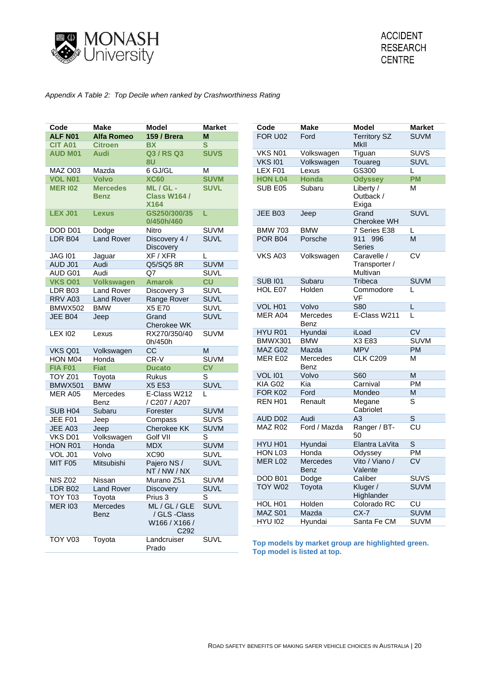

### <span id="page-32-0"></span>*Appendix A Table 2: Top Decile when ranked by Crashworthiness Rating*

| FOR U02<br>Ford<br><b>Territory SZ</b><br>ALF N01<br><b>Alfa Romeo</b><br><b>159 / Brera</b><br>M<br>MkII<br>$\mathbf{s}$<br><b>CIT A01</b><br><b>BX</b><br><b>Citroen</b><br>Volkswagen<br>VKS N01<br>Tiguan<br>Q3 / RS Q3<br><b>SUVS</b><br><b>AUD M01</b><br><b>Audi</b><br>8U<br><b>VKS 101</b><br>Volkswagen<br>Touareg<br>GS300<br>6 GJ/GL<br>M<br>LEX <sub>F01</sub><br>MAZ O03<br>Mazda<br>Lexus<br>L<br><b>VOL N01</b><br><b>Volvo</b><br><b>XC60</b><br><b>SUVM</b><br><b>HON L04</b><br><b>Honda</b><br><b>Odyssey</b><br><b>Mercedes</b><br>ML/GL-<br>Liberty /<br><b>MER 102</b><br><b>SUVL</b><br>SUB E05<br>Subaru<br>M<br><b>Class W164 /</b><br>Outback /<br><b>Benz</b><br><b>X164</b><br>Exiga<br><b>LEX J01</b><br>GS250/300/35<br>L<br>JEE B03<br>Jeep<br><b>Lexus</b><br>Grand<br>0/450h/460<br>Cherokee WH<br><b>BMW</b><br><b>SUVM</b><br>DOD D01<br>Dodge<br>Nitro<br><b>BMW 703</b><br>7 Series E38<br>L<br>$\overline{M}$<br>LDR B04<br><b>Land Rover</b><br>Discovery 4 /<br><b>SUVL</b><br><b>POR B04</b><br>Porsche<br>911 996<br><b>Series</b><br>Discovery<br>XF / XFR<br><b>VKS A03</b><br>Caravelle /<br><b>JAG 101</b><br>Jaguar<br>Volkswagen<br>L<br>Audi<br>Q5/SQ5 8R<br><b>SUVM</b><br>Transporter /<br>AUD J01<br>Multivan<br>AUD G01<br>Audi<br>Q7<br><b>SUVL</b> | Code | <b>Make</b> | <b>Model</b> | <b>Market</b> | Code | <b>Make</b> | <b>Model</b> | <b>Market</b>   |
|------------------------------------------------------------------------------------------------------------------------------------------------------------------------------------------------------------------------------------------------------------------------------------------------------------------------------------------------------------------------------------------------------------------------------------------------------------------------------------------------------------------------------------------------------------------------------------------------------------------------------------------------------------------------------------------------------------------------------------------------------------------------------------------------------------------------------------------------------------------------------------------------------------------------------------------------------------------------------------------------------------------------------------------------------------------------------------------------------------------------------------------------------------------------------------------------------------------------------------------------------------------------------------------------------------|------|-------------|--------------|---------------|------|-------------|--------------|-----------------|
|                                                                                                                                                                                                                                                                                                                                                                                                                                                                                                                                                                                                                                                                                                                                                                                                                                                                                                                                                                                                                                                                                                                                                                                                                                                                                                            |      |             |              |               |      |             |              | <b>SUVM</b>     |
|                                                                                                                                                                                                                                                                                                                                                                                                                                                                                                                                                                                                                                                                                                                                                                                                                                                                                                                                                                                                                                                                                                                                                                                                                                                                                                            |      |             |              |               |      |             |              |                 |
|                                                                                                                                                                                                                                                                                                                                                                                                                                                                                                                                                                                                                                                                                                                                                                                                                                                                                                                                                                                                                                                                                                                                                                                                                                                                                                            |      |             |              |               |      |             |              | <b>SUVS</b>     |
|                                                                                                                                                                                                                                                                                                                                                                                                                                                                                                                                                                                                                                                                                                                                                                                                                                                                                                                                                                                                                                                                                                                                                                                                                                                                                                            |      |             |              |               |      |             |              | <b>SUVL</b>     |
|                                                                                                                                                                                                                                                                                                                                                                                                                                                                                                                                                                                                                                                                                                                                                                                                                                                                                                                                                                                                                                                                                                                                                                                                                                                                                                            |      |             |              |               |      |             |              |                 |
|                                                                                                                                                                                                                                                                                                                                                                                                                                                                                                                                                                                                                                                                                                                                                                                                                                                                                                                                                                                                                                                                                                                                                                                                                                                                                                            |      |             |              |               |      |             |              | <b>PM</b>       |
|                                                                                                                                                                                                                                                                                                                                                                                                                                                                                                                                                                                                                                                                                                                                                                                                                                                                                                                                                                                                                                                                                                                                                                                                                                                                                                            |      |             |              |               |      |             |              |                 |
|                                                                                                                                                                                                                                                                                                                                                                                                                                                                                                                                                                                                                                                                                                                                                                                                                                                                                                                                                                                                                                                                                                                                                                                                                                                                                                            |      |             |              |               |      |             |              | <b>SUVL</b>     |
|                                                                                                                                                                                                                                                                                                                                                                                                                                                                                                                                                                                                                                                                                                                                                                                                                                                                                                                                                                                                                                                                                                                                                                                                                                                                                                            |      |             |              |               |      |             |              |                 |
|                                                                                                                                                                                                                                                                                                                                                                                                                                                                                                                                                                                                                                                                                                                                                                                                                                                                                                                                                                                                                                                                                                                                                                                                                                                                                                            |      |             |              |               |      |             |              |                 |
|                                                                                                                                                                                                                                                                                                                                                                                                                                                                                                                                                                                                                                                                                                                                                                                                                                                                                                                                                                                                                                                                                                                                                                                                                                                                                                            |      |             |              |               |      |             |              | $\overline{CV}$ |
|                                                                                                                                                                                                                                                                                                                                                                                                                                                                                                                                                                                                                                                                                                                                                                                                                                                                                                                                                                                                                                                                                                                                                                                                                                                                                                            |      |             |              |               |      |             |              |                 |
|                                                                                                                                                                                                                                                                                                                                                                                                                                                                                                                                                                                                                                                                                                                                                                                                                                                                                                                                                                                                                                                                                                                                                                                                                                                                                                            |      |             |              |               |      |             |              |                 |
| <b>SUB 101</b><br>Tribeca<br>Subaru<br>$\overline{\text{c}}$<br><b>VKS 001</b><br><b>Volkswagen</b><br><b>Amarok</b>                                                                                                                                                                                                                                                                                                                                                                                                                                                                                                                                                                                                                                                                                                                                                                                                                                                                                                                                                                                                                                                                                                                                                                                       |      |             |              |               |      |             |              | <b>SUVM</b>     |
| Holden<br>Commodore<br>HOL E07<br>L<br><b>SUVL</b><br>LDR B03<br><b>Land Rover</b><br>Discovery 3                                                                                                                                                                                                                                                                                                                                                                                                                                                                                                                                                                                                                                                                                                                                                                                                                                                                                                                                                                                                                                                                                                                                                                                                          |      |             |              |               |      |             |              |                 |
| VF<br><b>SUVL</b><br>RRV A03<br><b>Land Rover</b><br>Range Rover                                                                                                                                                                                                                                                                                                                                                                                                                                                                                                                                                                                                                                                                                                                                                                                                                                                                                                                                                                                                                                                                                                                                                                                                                                           |      |             |              |               |      |             |              |                 |
| Volvo<br><b>S80</b><br>VOL H01<br>L<br><b>SUVL</b><br><b>BMWX502</b><br><b>BMW</b><br>X5 E70                                                                                                                                                                                                                                                                                                                                                                                                                                                                                                                                                                                                                                                                                                                                                                                                                                                                                                                                                                                                                                                                                                                                                                                                               |      |             |              |               |      |             |              |                 |
| MER A04<br>E-Class W211<br>L<br>Mercedes<br>Grand<br><b>SUVL</b><br>JEE B04<br>Jeep<br>Benz<br>Cherokee WK                                                                                                                                                                                                                                                                                                                                                                                                                                                                                                                                                                                                                                                                                                                                                                                                                                                                                                                                                                                                                                                                                                                                                                                                 |      |             |              |               |      |             |              |                 |
| HYU R01<br>Hyundai<br>iLoad<br><b>SUVM</b><br><b>LEX 102</b><br>RX270/350/40<br>Lexus                                                                                                                                                                                                                                                                                                                                                                                                                                                                                                                                                                                                                                                                                                                                                                                                                                                                                                                                                                                                                                                                                                                                                                                                                      |      |             |              |               |      |             |              | <b>CV</b>       |
| BMWX301<br><b>BMW</b><br>X3 E83<br>0h/450h                                                                                                                                                                                                                                                                                                                                                                                                                                                                                                                                                                                                                                                                                                                                                                                                                                                                                                                                                                                                                                                                                                                                                                                                                                                                 |      |             |              |               |      |             |              | <b>SUVM</b>     |
| MAZ G02<br>Mazda<br><b>MPV</b><br>$\overline{cc}$<br>${\sf M}$<br>VKS Q01<br>Volkswagen                                                                                                                                                                                                                                                                                                                                                                                                                                                                                                                                                                                                                                                                                                                                                                                                                                                                                                                                                                                                                                                                                                                                                                                                                    |      |             |              |               |      |             |              | <b>PM</b>       |
| <b>CLK C209</b><br>MER E02<br>Mercedes<br>M<br>$CR-V$<br><b>SUVM</b><br>HON M04<br>Honda                                                                                                                                                                                                                                                                                                                                                                                                                                                                                                                                                                                                                                                                                                                                                                                                                                                                                                                                                                                                                                                                                                                                                                                                                   |      |             |              |               |      |             |              |                 |
| Benz<br>c <sub>V</sub><br>FIA F01<br><b>Fiat</b><br><b>Ducato</b>                                                                                                                                                                                                                                                                                                                                                                                                                                                                                                                                                                                                                                                                                                                                                                                                                                                                                                                                                                                                                                                                                                                                                                                                                                          |      |             |              |               |      |             |              |                 |
| Volvo<br><b>S60</b><br><b>VOL 101</b><br>M<br>S<br><b>TOY Z01</b><br>Toyota<br>Rukus                                                                                                                                                                                                                                                                                                                                                                                                                                                                                                                                                                                                                                                                                                                                                                                                                                                                                                                                                                                                                                                                                                                                                                                                                       |      |             |              |               |      |             |              |                 |
| KIA G02<br>Kia<br>Carnival<br><b>SUVL</b><br><b>BMW</b><br>X5 E53<br><b>BMWX501</b>                                                                                                                                                                                                                                                                                                                                                                                                                                                                                                                                                                                                                                                                                                                                                                                                                                                                                                                                                                                                                                                                                                                                                                                                                        |      |             |              |               |      |             |              | PM              |
| FOR K02<br>Ford<br>${\sf M}$<br>Mondeo<br>E-Class W212<br>MER A05<br>Mercedes<br>L<br>$\mathsf S$<br>REN H01<br>Renault<br>Megane<br>/ C207 / A207<br>Benz                                                                                                                                                                                                                                                                                                                                                                                                                                                                                                                                                                                                                                                                                                                                                                                                                                                                                                                                                                                                                                                                                                                                                 |      |             |              |               |      |             |              |                 |
| Cabriolet<br><b>SUVM</b><br>SUB H <sub>04</sub><br>Subaru<br>Forester                                                                                                                                                                                                                                                                                                                                                                                                                                                                                                                                                                                                                                                                                                                                                                                                                                                                                                                                                                                                                                                                                                                                                                                                                                      |      |             |              |               |      |             |              |                 |
| Audi<br>A3<br>$\mathsf S$<br>AUD D02<br><b>SUVS</b><br>JEE F01<br>Jeep<br>Compass                                                                                                                                                                                                                                                                                                                                                                                                                                                                                                                                                                                                                                                                                                                                                                                                                                                                                                                                                                                                                                                                                                                                                                                                                          |      |             |              |               |      |             |              |                 |
| MAZ R02<br>Ford / Mazda<br>Ranger / BT-<br>Cherokee KK<br><b>SUVM</b><br>JEE A03<br>Jeep                                                                                                                                                                                                                                                                                                                                                                                                                                                                                                                                                                                                                                                                                                                                                                                                                                                                                                                                                                                                                                                                                                                                                                                                                   |      |             |              |               |      |             |              | CU              |
| 50<br>S<br>VKS D01<br>Volkswagen<br>Golf VII                                                                                                                                                                                                                                                                                                                                                                                                                                                                                                                                                                                                                                                                                                                                                                                                                                                                                                                                                                                                                                                                                                                                                                                                                                                               |      |             |              |               |      |             |              |                 |
| $\mathsf{S}$<br>HYU H01<br>Hyundai<br>Elantra LaVita<br><b>MDX</b><br><b>SUVM</b><br>HON R01<br>Honda                                                                                                                                                                                                                                                                                                                                                                                                                                                                                                                                                                                                                                                                                                                                                                                                                                                                                                                                                                                                                                                                                                                                                                                                      |      |             |              |               |      |             |              |                 |
| Honda<br>HON L03<br>Odyssey<br>XC90<br><b>SUVL</b><br>Volvo<br>VOL J01                                                                                                                                                                                                                                                                                                                                                                                                                                                                                                                                                                                                                                                                                                                                                                                                                                                                                                                                                                                                                                                                                                                                                                                                                                     |      |             |              |               |      |             |              | PM              |
| MER L02<br>Vito / Viano /<br>Mercedes<br><b>SUVL</b><br>MIT F05<br>Mitsubishi<br>Pajero NS /<br>Benz<br>Valente<br>NT / NW / NX                                                                                                                                                                                                                                                                                                                                                                                                                                                                                                                                                                                                                                                                                                                                                                                                                                                                                                                                                                                                                                                                                                                                                                            |      |             |              |               |      |             |              | <b>CV</b>       |
| DOD B01<br>Dodge<br>Caliber<br><b>NIS Z02</b><br><b>SUVM</b><br>Nissan<br>Murano Z51                                                                                                                                                                                                                                                                                                                                                                                                                                                                                                                                                                                                                                                                                                                                                                                                                                                                                                                                                                                                                                                                                                                                                                                                                       |      |             |              |               |      |             |              | <b>SUVS</b>     |
| TOY W02<br>Kluger /<br>Toyota<br><b>SUVL</b><br>LDR B02<br><b>Land Rover</b><br><b>Discovery</b>                                                                                                                                                                                                                                                                                                                                                                                                                                                                                                                                                                                                                                                                                                                                                                                                                                                                                                                                                                                                                                                                                                                                                                                                           |      |             |              |               |      |             |              | <b>SUVM</b>     |
| Highlander<br>TOY T03<br>Prius 3<br>S<br>Toyota                                                                                                                                                                                                                                                                                                                                                                                                                                                                                                                                                                                                                                                                                                                                                                                                                                                                                                                                                                                                                                                                                                                                                                                                                                                            |      |             |              |               |      |             |              |                 |
| Holden<br>Colorado RC<br>HOL H <sub>01</sub><br><b>MER 103</b><br>Mercedes<br>ML / GL / GLE<br><b>SUVL</b>                                                                                                                                                                                                                                                                                                                                                                                                                                                                                                                                                                                                                                                                                                                                                                                                                                                                                                                                                                                                                                                                                                                                                                                                 |      |             |              |               |      |             |              | CU              |
| MAZ S01<br>Mazda<br>$CX-7$<br>/ GLS -Class<br>Benz                                                                                                                                                                                                                                                                                                                                                                                                                                                                                                                                                                                                                                                                                                                                                                                                                                                                                                                                                                                                                                                                                                                                                                                                                                                         |      |             |              |               |      |             |              | <b>SUVM</b>     |
| <b>HYU 102</b><br>Hyundai<br>Santa Fe CM<br>W166 / X166 /<br>C <sub>292</sub>                                                                                                                                                                                                                                                                                                                                                                                                                                                                                                                                                                                                                                                                                                                                                                                                                                                                                                                                                                                                                                                                                                                                                                                                                              |      |             |              |               |      |             |              | <b>SUVM</b>     |
| <b>TOY V03</b><br>Toyota<br><b>SUVL</b><br>Landcruiser<br>Top models by market group are highlighted green.<br>Prado<br>Top model is listed at top.                                                                                                                                                                                                                                                                                                                                                                                                                                                                                                                                                                                                                                                                                                                                                                                                                                                                                                                                                                                                                                                                                                                                                        |      |             |              |               |      |             |              |                 |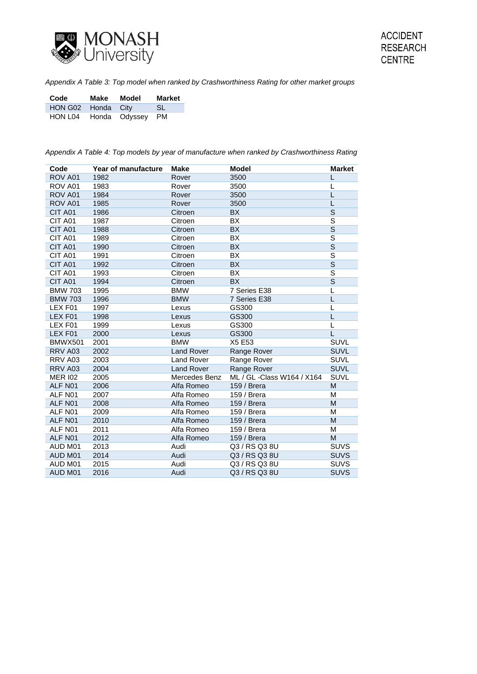

<span id="page-33-0"></span>*Appendix A Table 3: Top model when ranked by Crashworthiness Rating for other market groups*

| Code                  | Make | Model | <b>Market</b> |
|-----------------------|------|-------|---------------|
| HON G02 Honda City    |      |       | -SL           |
| HON L04 Honda Odyssey |      |       | PM            |

<span id="page-33-1"></span>*Appendix A Table 4: Top models by year of manufacture when ranked by Crashworthiness Rating*

| Code           | Year of manufacture | <b>Make</b>       | <b>Model</b>                | <b>Market</b>           |
|----------------|---------------------|-------------------|-----------------------------|-------------------------|
| ROV A01        | 1982                | Rover             | 3500                        |                         |
| ROV A01        | 1983                | Rover             | 3500                        | L                       |
| ROV A01        | 1984                | Rover             | 3500                        | L                       |
| ROV A01        | 1985                | Rover             | 3500                        | L                       |
| CIT A01        | 1986                | Citroen           | <b>BX</b>                   | S                       |
| CIT A01        | 1987                | Citroen           | BX                          | S                       |
| CIT A01        | 1988                | Citroen           | <b>BX</b>                   | $\overline{\mathsf{s}}$ |
| CIT A01        | 1989                | Citroen           | BX                          | $\overline{\mathsf{s}}$ |
| CIT A01        | 1990                | Citroen           | <b>BX</b>                   | $\overline{\mathsf{s}}$ |
| CIT A01        | 1991                | Citroen           | BX                          | $\overline{\mathsf{s}}$ |
| CIT A01        | 1992                | Citroen           | <b>BX</b>                   | $\overline{\mathbf{s}}$ |
| CIT A01        | 1993                | Citroen           | <b>BX</b>                   | $\overline{\mathsf{s}}$ |
| CIT A01        | 1994                | Citroen           | <b>BX</b>                   | $\overline{\mathsf{s}}$ |
| <b>BMW 703</b> | 1995                | <b>BMW</b>        | 7 Series E38                | L                       |
| <b>BMW 703</b> | 1996                | <b>BMW</b>        | 7 Series E38                | L                       |
| LEX F01        | 1997                | Lexus             | GS300                       | L                       |
| LEX F01        | 1998                | Lexus             | GS300                       | L                       |
| LEX F01        | 1999                | Lexus             | GS300                       | L                       |
| LEX F01        | 2000                | Lexus             | GS300                       | L                       |
| <b>BMWX501</b> | 2001                | <b>BMW</b>        | X5 E53                      | <b>SUVL</b>             |
| RRV A03        | 2002                | <b>Land Rover</b> | Range Rover                 | <b>SUVL</b>             |
| RRV A03        | 2003                | <b>Land Rover</b> | Range Rover                 | <b>SUVL</b>             |
| RRV A03        | 2004                | <b>Land Rover</b> | Range Rover                 | <b>SUVL</b>             |
| <b>MER 102</b> | 2005                | Mercedes Benz     | ML / GL - Class W164 / X164 | SUVL                    |
| ALF N01        | 2006                | Alfa Romeo        | 159 / Brera                 | M                       |
| ALF N01        | 2007                | Alfa Romeo        | 159 / Brera                 | M                       |
| ALF N01        | 2008                | Alfa Romeo        | 159 / Brera                 | M                       |
| ALF N01        | 2009                | Alfa Romeo        | 159 / Brera                 | M                       |
| ALF N01        | 2010                | Alfa Romeo        | 159 / Brera                 | M                       |
| ALF N01        | 2011                | Alfa Romeo        | 159 / Brera                 | M                       |
| ALF N01        | 2012                | Alfa Romeo        | 159 / Brera                 | M                       |
| AUD M01        | 2013                | Audi              | Q3 / RS Q3 8U               | <b>SUVS</b>             |
| AUD M01        | 2014                | Audi              | Q3 / RS Q3 8U               | <b>SUVS</b>             |
| AUD M01        | 2015                | Audi              | Q3 / RS Q3 8U               | <b>SUVS</b>             |
| AUD M01        | 2016                | Audi              | Q3 / RS Q3 8U               | <b>SUVS</b>             |
|                |                     |                   |                             |                         |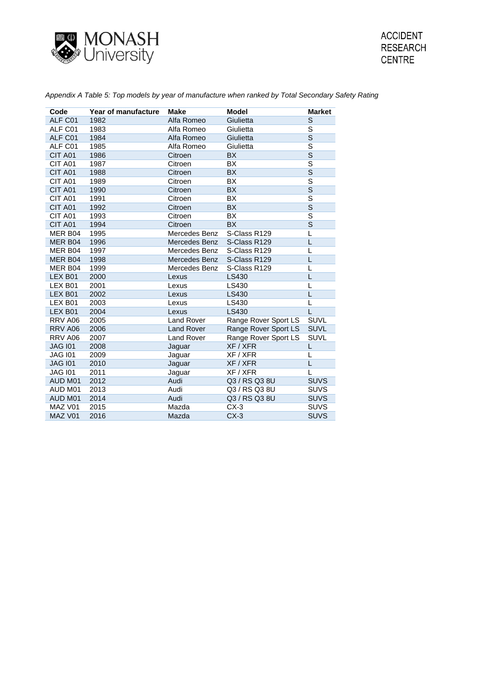

| Code           | Year of manufacture | <b>Make</b>       | Model                | <b>Market</b>           |
|----------------|---------------------|-------------------|----------------------|-------------------------|
| ALF C01        | 1982                | Alfa Romeo        | Giulietta            | S                       |
| ALF C01        | 1983                | Alfa Romeo        | Giulietta            | S                       |
| ALF C01        | 1984                | Alfa Romeo        | Giulietta            | $\overline{\mathbf{s}}$ |
| ALF C01        | 1985                | Alfa Romeo        | Giulietta            | $\overline{\mathbf{s}}$ |
| CIT A01        | 1986                | Citroen           | <b>BX</b>            | $\overline{\mathbf{s}}$ |
| CIT A01        | 1987                | Citroen           | <b>BX</b>            | $\overline{\mathbf{s}}$ |
| CIT A01        | 1988                | Citroen           | <b>BX</b>            | $\overline{\mathbf{s}}$ |
| CIT A01        | 1989                | Citroen           | ВX                   | $\overline{\mathbf{s}}$ |
| CIT A01        | 1990                | Citroen           | <b>BX</b>            | $\overline{\mathbf{s}}$ |
| CIT A01        | 1991                | Citroen           | BX                   | $\overline{s}$          |
| CIT A01        | 1992                | Citroen           | <b>BX</b>            | $\overline{\mathsf{s}}$ |
| CIT A01        | 1993                | Citroen           | <b>BX</b>            | $\overline{\mathbf{s}}$ |
| CIT A01        | 1994                | Citroen           | <b>BX</b>            | $\overline{\mathbf{s}}$ |
| MER B04        | 1995                | Mercedes Benz     | S-Class R129         | L                       |
| MER B04        | 1996                | Mercedes Benz     | S-Class R129         | L                       |
| MER B04        | 1997                | Mercedes Benz     | S-Class R129         | L                       |
| MER B04        | 1998                | Mercedes Benz     | S-Class R129         | L                       |
| MER B04        | 1999                | Mercedes Benz     | S-Class R129         | L                       |
| LEX B01        | 2000                | Lexus             | LS430                | L                       |
| LEX B01        | 2001                | Lexus             | LS430                | L                       |
| LEX B01        | 2002                | Lexus             | LS430                | L                       |
| LEX B01        | 2003                | Lexus             | LS430                | L                       |
| LEX B01        | 2004                | Lexus             | LS430                | L                       |
| RRV A06        | 2005                | <b>Land Rover</b> | Range Rover Sport LS | <b>SUVL</b>             |
| RRV A06        | 2006                | <b>Land Rover</b> | Range Rover Sport LS | <b>SUVL</b>             |
| RRV A06        | 2007                | <b>Land Rover</b> | Range Rover Sport LS | <b>SUVL</b>             |
| <b>JAG 101</b> | 2008                | Jaguar            | XF / XFR             | L                       |
| <b>JAG 101</b> | 2009                | Jaguar            | XF / XFR             | L                       |
| <b>JAG 101</b> | 2010                | Jaguar            | XF / XFR             | L                       |
| <b>JAG 101</b> | 2011                | Jaguar            | XF / XFR             | L                       |
| AUD M01        | 2012                | Audi              | Q3 / RS Q3 8U        | <b>SUVS</b>             |
| AUD M01        | 2013                | Audi              | Q3 / RS Q3 8U        | <b>SUVS</b>             |
| AUD M01        | 2014                | Audi              | Q3 / RS Q3 8U        | <b>SUVS</b>             |
| MAZ V01        | 2015                | Mazda             | $CX-3$               | <b>SUVS</b>             |
| MAZ V01        | 2016                | Mazda             | $CX-3$               | <b>SUVS</b>             |

<span id="page-34-0"></span>*Appendix A Table 5: Top models by year of manufacture when ranked by Total Secondary Safety Rating*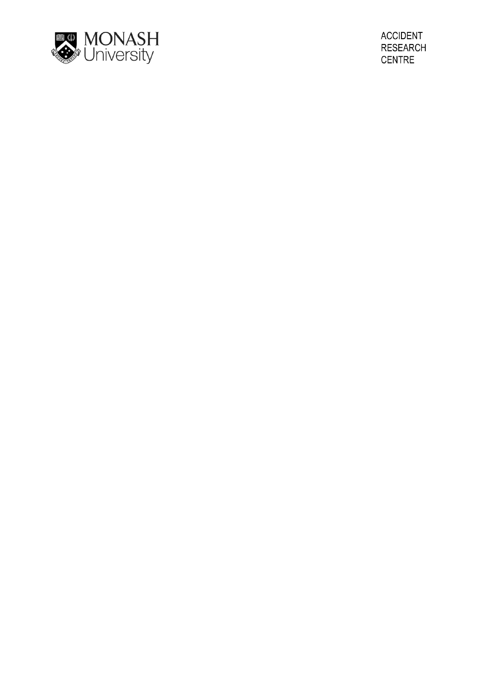